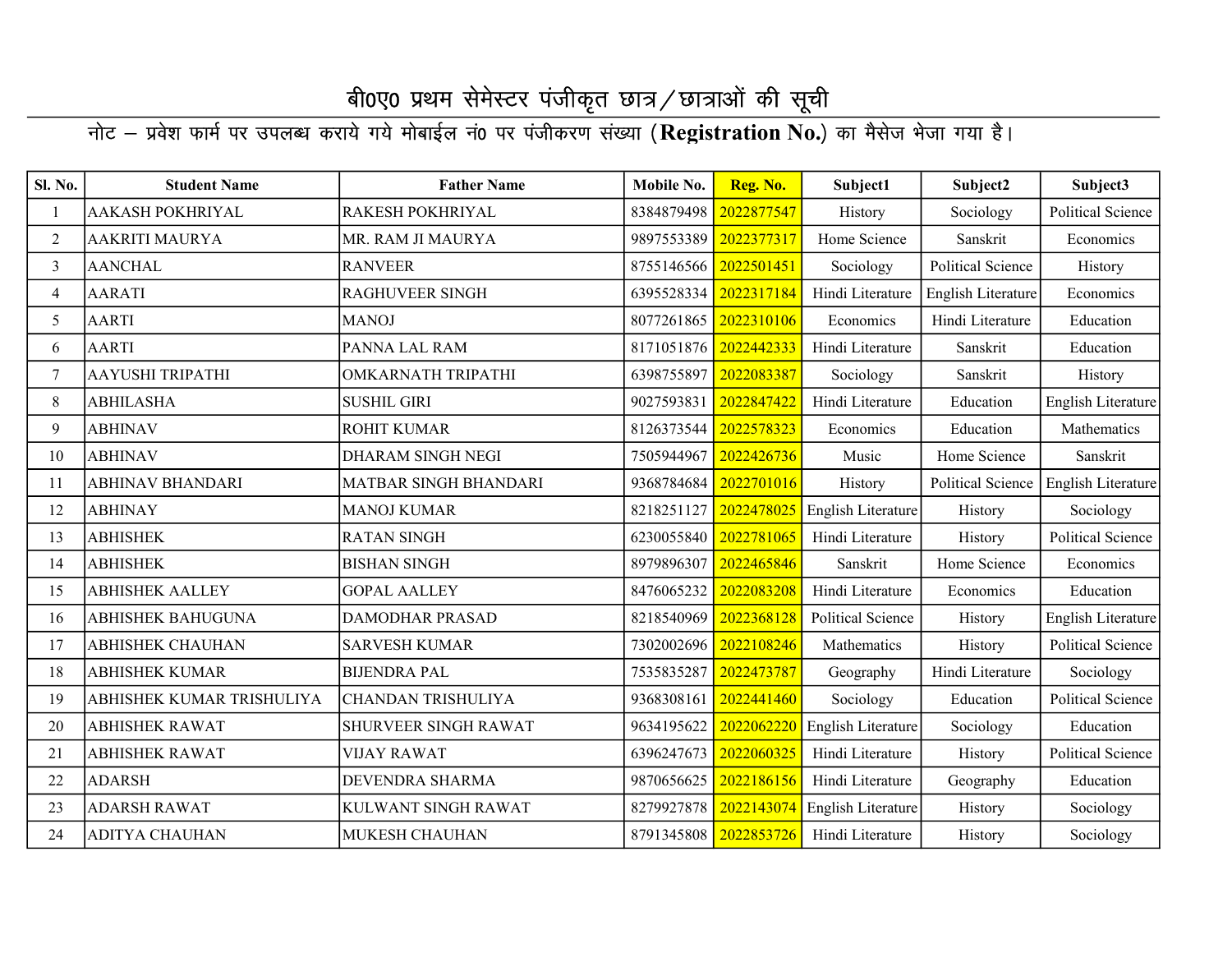| <b>Sl. No.</b> | <b>Student Name</b>       | <b>Father Name</b>        | Mobile No. | Reg. No.              | Subject1                 | Subject2                 | Subject3                 |
|----------------|---------------------------|---------------------------|------------|-----------------------|--------------------------|--------------------------|--------------------------|
|                | AAKASH POKHRIYAL          | RAKESH POKHRIYAL          | 8384879498 | 2022877547            | History                  | Sociology                | <b>Political Science</b> |
| $\overline{2}$ | <b>AAKRITI MAURYA</b>     | MR. RAM JI MAURYA         | 9897553389 | 2022377317            | Home Science             | Sanskrit                 | Economics                |
| $\overline{3}$ | <b>AANCHAL</b>            | <b>RANVEER</b>            | 8755146566 | 2022501451            | Sociology                | Political Science        | History                  |
| $\overline{4}$ | <b>AARATI</b>             | <b>RAGHUVEER SINGH</b>    | 6395528334 | 2022317184            | Hindi Literature         | English Literature       | Economics                |
| 5              | <b>AARTI</b>              | <b>MANOJ</b>              | 8077261865 | 2022310106            | Economics                | Hindi Literature         | Education                |
| 6              | <b>AARTI</b>              | PANNA LAL RAM             |            | 8171051876 2022442333 | Hindi Literature         | Sanskrit                 | Education                |
| $\tau$         | <b>AAYUSHI TRIPATHI</b>   | <b>OMKARNATH TRIPATHI</b> | 6398755897 | 2022083387            | Sociology                | Sanskrit                 | History                  |
| 8              | <b>ABHILASHA</b>          | <b>SUSHIL GIRI</b>        | 9027593831 | 2022847422            | Hindi Literature         | Education                | English Literature       |
| 9              | <b>ABHINAV</b>            | ROHIT KUMAR               | 8126373544 | 2022578323            | Economics                | Education                | Mathematics              |
| 10             | <b>ABHINAV</b>            | <b>DHARAM SINGH NEGI</b>  | 7505944967 | 2022426736            | Music                    | Home Science             | Sanskrit                 |
| 11             | <b>ABHINAV BHANDARI</b>   | MATBAR SINGH BHANDARI     | 9368784684 | 2022701016            | History                  | <b>Political Science</b> | English Literature       |
| 12             | <b>ABHINAY</b>            | <b>MANOJ KUMAR</b>        | 8218251127 | 2022478025            | English Literature       | History                  | Sociology                |
| 13             | <b>ABHISHEK</b>           | <b>RATAN SINGH</b>        | 6230055840 | 2022781065            | Hindi Literature         | History                  | <b>Political Science</b> |
| 14             | <b>ABHISHEK</b>           | <b>BISHAN SINGH</b>       | 8979896307 | 2022465846            | Sanskrit                 | Home Science             | Economics                |
| 15             | <b>ABHISHEK AALLEY</b>    | <b>GOPAL AALLEY</b>       | 8476065232 | 2022083208            | Hindi Literature         | Economics                | Education                |
| 16             | <b>ABHISHEK BAHUGUNA</b>  | DAMODHAR PRASAD           | 8218540969 | 2022368128            | <b>Political Science</b> | History                  | English Literature       |
| 17             | <b>ABHISHEK CHAUHAN</b>   | <b>SARVESH KUMAR</b>      | 7302002696 | 2022108246            | Mathematics              | History                  | <b>Political Science</b> |
| 18             | <b>ABHISHEK KUMAR</b>     | <b>BIJENDRA PAL</b>       | 7535835287 | 2022473787            | Geography                | Hindi Literature         | Sociology                |
| 19             | ABHISHEK KUMAR TRISHULIYA | <b>CHANDAN TRISHULIYA</b> | 9368308161 | 2022441460            | Sociology                | Education                | Political Science        |
| 20             | <b>ABHISHEK RAWAT</b>     | SHURVEER SINGH RAWAT      | 9634195622 | 2022062220            | English Literature       | Sociology                | Education                |
| 21             | <b>ABHISHEK RAWAT</b>     | <b>VIJAY RAWAT</b>        | 6396247673 | 2022060325            | Hindi Literature         | History                  | Political Science        |
| 22             | <b>ADARSH</b>             | DEVENDRA SHARMA           | 9870656625 | 2022186156            | Hindi Literature         | Geography                | Education                |
| 23             | <b>ADARSH RAWAT</b>       | KULWANT SINGH RAWAT       | 8279927878 | 2022143074            | English Literature       | History                  | Sociology                |
| 24             | <b>ADITYA CHAUHAN</b>     | <b>MUKESH CHAUHAN</b>     |            | 8791345808 2022853726 | Hindi Literature         | History                  | Sociology                |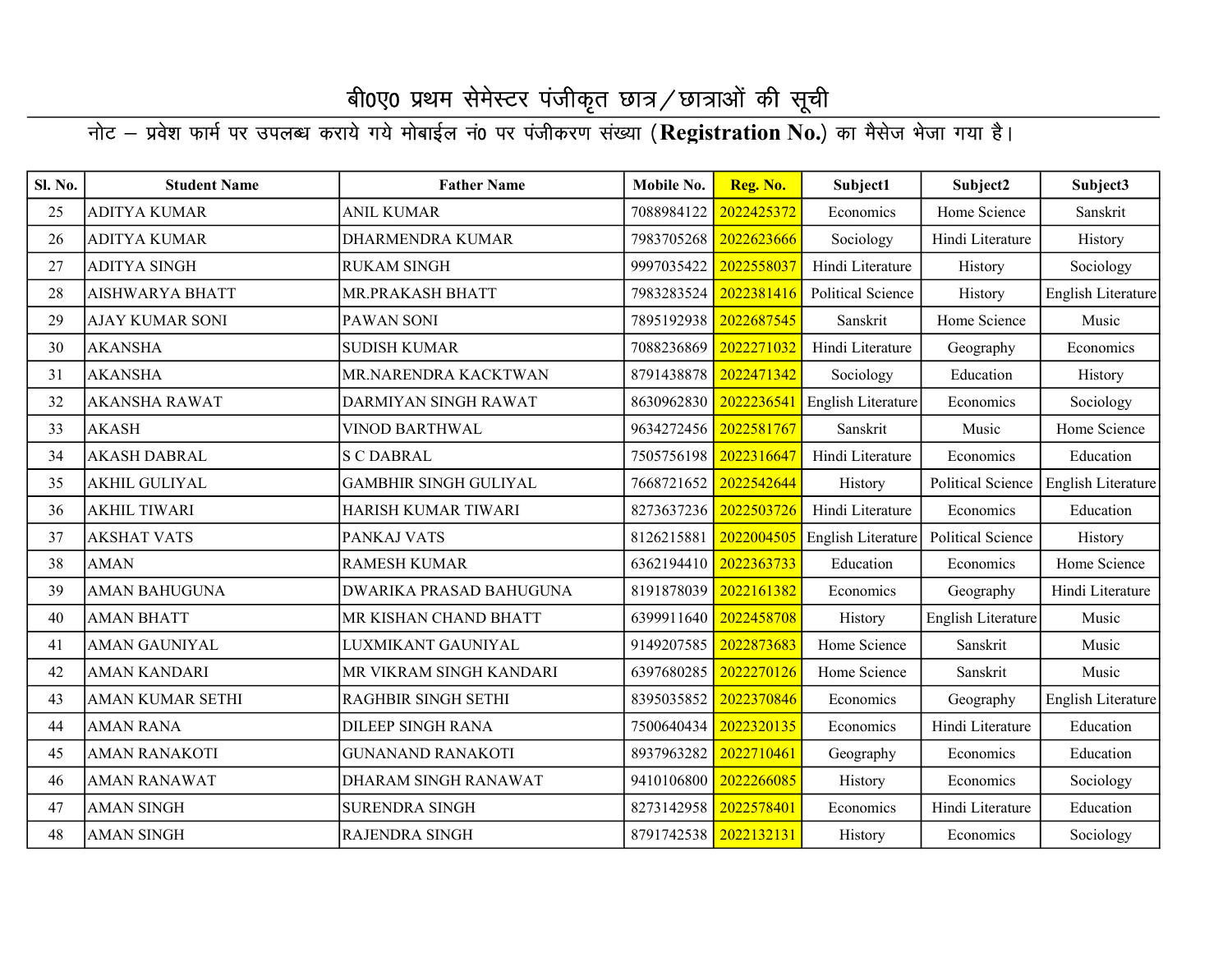| Sl. No. | <b>Student Name</b>     | <b>Father Name</b>             | Mobile No.            | Reg. No.   | Subject1           | Subject2                 | Subject3           |
|---------|-------------------------|--------------------------------|-----------------------|------------|--------------------|--------------------------|--------------------|
| 25      | <b>ADITYA KUMAR</b>     | <b>ANIL KUMAR</b>              | 7088984122            | 2022425372 | Economics          | Home Science             | Sanskrit           |
| 26      | <b>ADITYA KUMAR</b>     | <b>DHARMENDRA KUMAR</b>        | 7983705268            | 2022623666 | Sociology          | Hindi Literature         | History            |
| 27      | <b>ADITYA SINGH</b>     | <b>RUKAM SINGH</b>             | 9997035422            | 2022558037 | Hindi Literature   | History                  | Sociology          |
| 28      | <b>AISHWARYA BHATT</b>  | MR.PRAKASH BHATT               | 7983283524            | 2022381416 | Political Science  | History                  | English Literature |
| 29      | <b>AJAY KUMAR SONI</b>  | PAWAN SONI                     | 7895192938            | 2022687545 | Sanskrit           | Home Science             | Music              |
| 30      | <b>AKANSHA</b>          | <b>SUDISH KUMAR</b>            | 7088236869            | 2022271032 | Hindi Literature   | Geography                | Economics          |
| 31      | <b>AKANSHA</b>          | MR.NARENDRA KACKTWAN           | 8791438878            | 2022471342 | Sociology          | Education                | History            |
| 32      | <b>AKANSHA RAWAT</b>    | DARMIYAN SINGH RAWAT           | 8630962830            | 2022236541 | English Literature | Economics                | Sociology          |
| 33      | <b>AKASH</b>            | <b>VINOD BARTHWAL</b>          | 9634272456            | 2022581767 | Sanskrit           | Music                    | Home Science       |
| 34      | <b>AKASH DABRAL</b>     | <b>S C DABRAL</b>              | 7505756198            | 2022316647 | Hindi Literature   | Economics                | Education          |
| 35      | <b>AKHIL GULIYAL</b>    | <b>GAMBHIR SINGH GULIYAL</b>   | 7668721652            | 2022542644 | History            | Political Science        | English Literature |
| 36      | <b>AKHIL TIWARI</b>     | HARISH KUMAR TIWARI            | 8273637236 2022503726 |            | Hindi Literature   | Economics                | Education          |
| 37      | <b>AKSHAT VATS</b>      | PANKAJ VATS                    | 8126215881            | 2022004505 | English Literature | <b>Political Science</b> | History            |
| 38      | <b>AMAN</b>             | <b>RAMESH KUMAR</b>            | 6362194410            | 2022363733 | Education          | Economics                | Home Science       |
| 39      | <b>AMAN BAHUGUNA</b>    | <b>DWARIKA PRASAD BAHUGUNA</b> | 8191878039            | 2022161382 | Economics          | Geography                | Hindi Literature   |
| 40      | <b>AMAN BHATT</b>       | MR KISHAN CHAND BHATT          | 6399911640            | 2022458708 | History            | English Literature       | Music              |
| 41      | <b>AMAN GAUNIYAL</b>    | LUXMIKANT GAUNIYAL             | 9149207585            | 2022873683 | Home Science       | Sanskrit                 | Music              |
| 42      | <b>AMAN KANDARI</b>     | MR VIKRAM SINGH KANDARI        | 6397680285            | 2022270126 | Home Science       | Sanskrit                 | Music              |
| 43      | <b>AMAN KUMAR SETHI</b> | RAGHBIR SINGH SETHI            | 8395035852            | 2022370846 | Economics          | Geography                | English Literature |
| 44      | <b>AMAN RANA</b>        | <b>DILEEP SINGH RANA</b>       | 7500640434            | 2022320135 | Economics          | Hindi Literature         | Education          |
| 45      | <b>AMAN RANAKOTI</b>    | <b>GUNANAND RANAKOTI</b>       | 8937963282            | 2022710461 | Geography          | Economics                | Education          |
| 46      | <b>AMAN RANAWAT</b>     | DHARAM SINGH RANAWAT           | 9410106800            | 2022266085 | History            | Economics                | Sociology          |
| 47      | <b>AMAN SINGH</b>       | <b>SURENDRA SINGH</b>          | 8273142958            | 2022578401 | Economics          | Hindi Literature         | Education          |
| 48      | <b>AMAN SINGH</b>       | <b>RAJENDRA SINGH</b>          | 8791742538 2022132131 |            | History            | Economics                | Sociology          |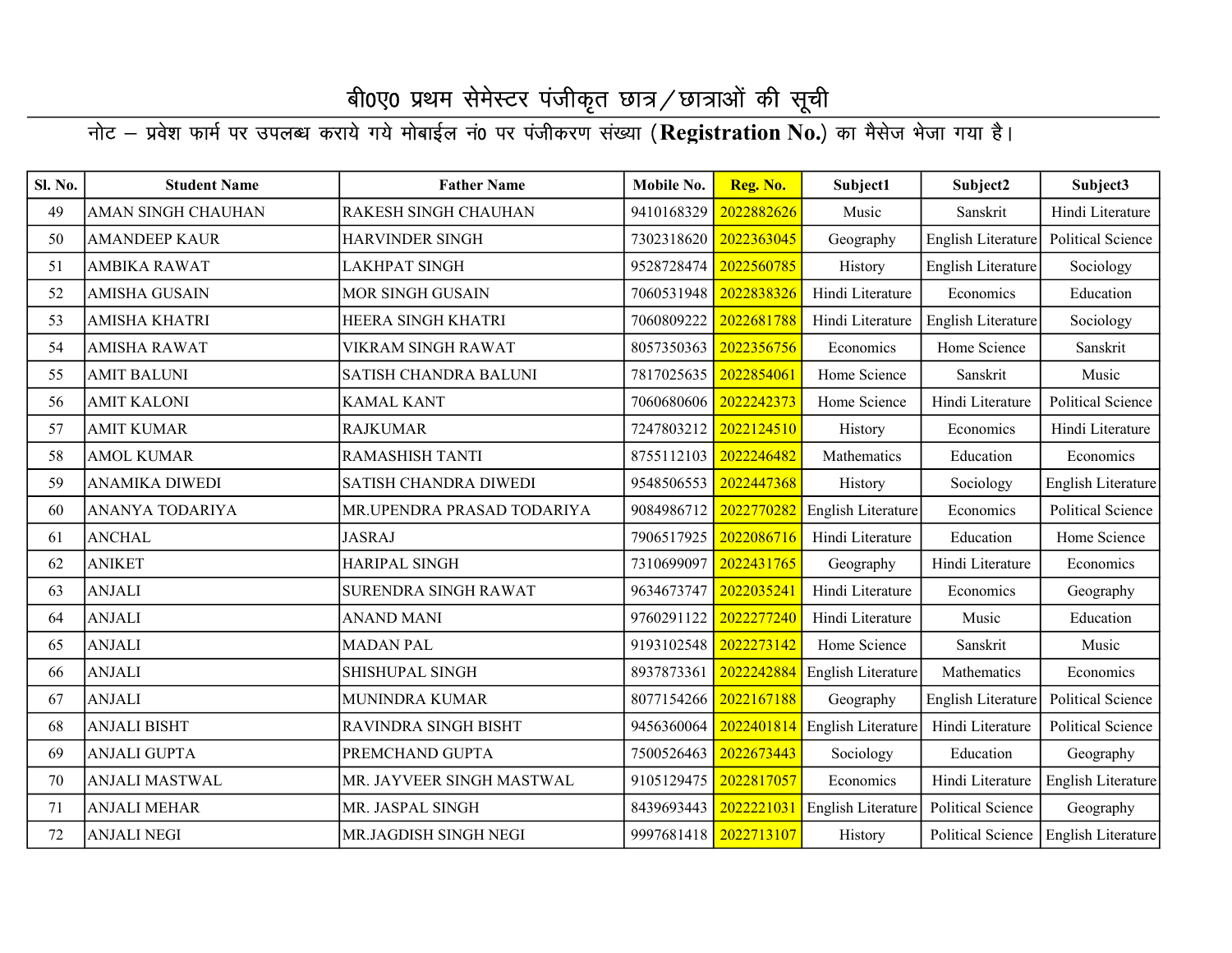#### whicksv & izos in the CR is the contract of the control in the control of the control of the CR is the CR stat<br>The Ligit of Australian CR state in the San State of Heinrich State and State and State and State and State St

| Sl. No. | <b>Student Name</b>       | <b>Father Name</b>          | Mobile No.            | Reg. No.   | Subject1                      | Subject2                 | Subject3                  |
|---------|---------------------------|-----------------------------|-----------------------|------------|-------------------------------|--------------------------|---------------------------|
| 49      | <b>AMAN SINGH CHAUHAN</b> | <b>RAKESH SINGH CHAUHAN</b> | 9410168329            | 2022882626 | Music                         | Sanskrit                 | Hindi Literature          |
| 50      | <b>AMANDEEP KAUR</b>      | <b>HARVINDER SINGH</b>      | 7302318620            | 2022363045 | Geography                     | English Literature       | <b>Political Science</b>  |
| 51      | <b>AMBIKA RAWAT</b>       | LAKHPAT SINGH               | 9528728474            | 2022560785 | History                       | English Literature       | Sociology                 |
| 52      | <b>AMISHA GUSAIN</b>      | MOR SINGH GUSAIN            | 7060531948            | 2022838326 | Hindi Literature              | Economics                | Education                 |
| 53      | AMISHA KHATRI             | HEERA SINGH KHATRI          | 7060809222            | 2022681788 | Hindi Literature              | English Literature       | Sociology                 |
| 54      | <b>AMISHA RAWAT</b>       | VIKRAM SINGH RAWAT          | 8057350363            | 2022356756 | Economics                     | Home Science             | Sanskrit                  |
| 55      | <b>AMIT BALUNI</b>        | SATISH CHANDRA BALUNI       | 7817025635            | 2022854061 | Home Science                  | Sanskrit                 | Music                     |
| 56      | <b>AMIT KALONI</b>        | <b>KAMAL KANT</b>           | 7060680606            | 2022242373 | Home Science                  | Hindi Literature         | Political Science         |
| 57      | <b>AMIT KUMAR</b>         | <b>RAJKUMAR</b>             | 7247803212            | 2022124510 | History                       | Economics                | Hindi Literature          |
| 58      | <b>AMOL KUMAR</b>         | RAMASHISH TANTI             | 8755112103 2022246482 |            | Mathematics                   | Education                | Economics                 |
| 59      | <b>ANAMIKA DIWEDI</b>     | SATISH CHANDRA DIWEDI       | 9548506553            | 2022447368 | History                       | Sociology                | English Literature        |
| 60      | ANANYA TODARIYA           | MR.UPENDRA PRASAD TODARIYA  | 9084986712            | 2022770282 | English Literature            | Economics                | <b>Political Science</b>  |
| 61      | <b>ANCHAL</b>             | <b>JASRAJ</b>               | 7906517925            | 2022086716 | Hindi Literature              | Education                | Home Science              |
| 62      | <b>ANIKET</b>             | HARIPAL SINGH               | 7310699097            | 2022431765 | Geography                     | Hindi Literature         | Economics                 |
| 63      | <b>ANJALI</b>             | SURENDRA SINGH RAWAT        | 9634673747            | 2022035241 | Hindi Literature              | Economics                | Geography                 |
| 64      | <b>ANJALI</b>             | <b>ANAND MANI</b>           | 9760291122            | 2022277240 | Hindi Literature              | Music                    | Education                 |
| 65      | <b>ANJALI</b>             | <b>MADAN PAL</b>            | 9193102548            | 2022273142 | Home Science                  | Sanskrit                 | Music                     |
| 66      | <b>ANJALI</b>             | SHISHUPAL SINGH             | 8937873361            | 2022242884 | <b>English Literature</b>     | Mathematics              | Economics                 |
| 67      | <b>ANJALI</b>             | MUNINDRA KUMAR              | 8077154266            | 2022167188 | Geography                     | English Literature       | <b>Political Science</b>  |
| 68      | <b>ANJALI BISHT</b>       | RAVINDRA SINGH BISHT        | 9456360064            |            | 2022401814 English Literature | Hindi Literature         | <b>Political Science</b>  |
| 69      | <b>ANJALI GUPTA</b>       | PREMCHAND GUPTA             | 7500526463            | 2022673443 | Sociology                     | Education                | Geography                 |
| 70      | <b>ANJALI MASTWAL</b>     | MR. JAYVEER SINGH MASTWAL   | 9105129475            | 2022817057 | Economics                     | Hindi Literature         | English Literature        |
| 71      | <b>ANJALI MEHAR</b>       | MR. JASPAL SINGH            | 8439693443            | 2022221031 | English Literature            | <b>Political Science</b> | Geography                 |
| 72      | <b>ANJALI NEGI</b>        | MR.JAGDISH SINGH NEGI       | 9997681418 2022713107 |            | History                       | Political Science        | <b>English Literature</b> |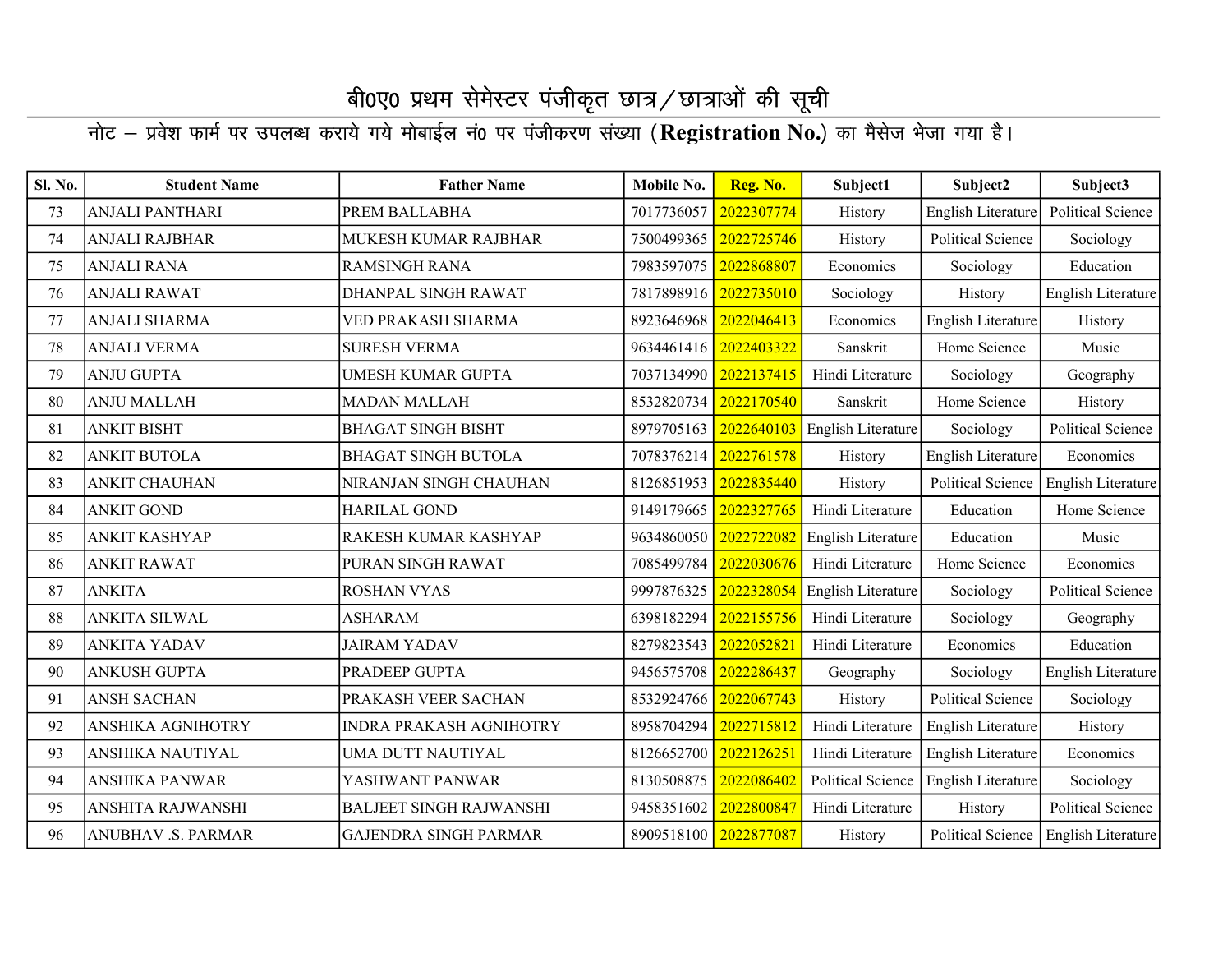| Sl. No. | <b>Student Name</b>      | <b>Father Name</b>             | Mobile No. | Reg. No.   | Subject1           | Subject2                 | Subject3                 |
|---------|--------------------------|--------------------------------|------------|------------|--------------------|--------------------------|--------------------------|
| 73      | <b>ANJALI PANTHARI</b>   | PREM BALLABHA                  | 7017736057 | 2022307774 | History            | English Literature       | Political Science        |
| 74      | <b>ANJALI RAJBHAR</b>    | MUKESH KUMAR RAJBHAR           | 7500499365 | 2022725746 | History            | <b>Political Science</b> | Sociology                |
| 75      | <b>ANJALI RANA</b>       | <b>RAMSINGH RANA</b>           | 7983597075 | 2022868807 | Economics          | Sociology                | Education                |
| 76      | <b>ANJALI RAWAT</b>      | DHANPAL SINGH RAWAT            | 7817898916 | 2022735010 | Sociology          | History                  | English Literature       |
| 77      | <b>ANJALI SHARMA</b>     | VED PRAKASH SHARMA             | 8923646968 | 2022046413 | Economics          | English Literature       | History                  |
| $78\,$  | <b>ANJALI VERMA</b>      | <b>SURESH VERMA</b>            | 9634461416 | 2022403322 | Sanskrit           | Home Science             | Music                    |
| 79      | <b>ANJU GUPTA</b>        | <b>UMESH KUMAR GUPTA</b>       | 7037134990 | 2022137415 | Hindi Literature   | Sociology                | Geography                |
| 80      | <b>ANJU MALLAH</b>       | <b>MADAN MALLAH</b>            | 8532820734 | 2022170540 | Sanskrit           | Home Science             | History                  |
| 81      | <b>ANKIT BISHT</b>       | <b>BHAGAT SINGH BISHT</b>      | 8979705163 | 2022640103 | English Literature | Sociology                | <b>Political Science</b> |
| 82      | <b>ANKIT BUTOLA</b>      | <b>BHAGAT SINGH BUTOLA</b>     | 7078376214 | 2022761578 | History            | English Literature       | Economics                |
| 83      | <b>ANKIT CHAUHAN</b>     | NIRANJAN SINGH CHAUHAN         | 8126851953 | 2022835440 | History            | <b>Political Science</b> | English Literature       |
| 84      | <b>ANKIT GOND</b>        | <b>HARILAL GOND</b>            | 9149179665 | 2022327765 | Hindi Literature   | Education                | Home Science             |
| 85      | <b>ANKIT KASHYAP</b>     | RAKESH KUMAR KASHYAP           | 9634860050 | 2022722082 | English Literature | Education                | Music                    |
| 86      | <b>ANKIT RAWAT</b>       | PURAN SINGH RAWAT              | 7085499784 | 2022030676 | Hindi Literature   | Home Science             | Economics                |
| 87      | <b>ANKITA</b>            | <b>ROSHAN VYAS</b>             | 9997876325 | 2022328054 | English Literature | Sociology                | Political Science        |
| 88      | <b>ANKITA SILWAL</b>     | <b>ASHARAM</b>                 | 6398182294 | 2022155756 | Hindi Literature   | Sociology                | Geography                |
| 89      | <b>ANKITA YADAV</b>      | <b>JAIRAM YADAV</b>            | 8279823543 | 2022052821 | Hindi Literature   | Economics                | Education                |
| 90      | <b>ANKUSH GUPTA</b>      | PRADEEP GUPTA                  | 9456575708 | 2022286437 | Geography          | Sociology                | English Literature       |
| 91      | <b>ANSH SACHAN</b>       | PRAKASH VEER SACHAN            | 8532924766 | 2022067743 | History            | <b>Political Science</b> | Sociology                |
| 92      | <b>ANSHIKA AGNIHOTRY</b> | <b>INDRA PRAKASH AGNIHOTRY</b> | 8958704294 | 2022715812 | Hindi Literature   | English Literature       | History                  |
| 93      | <b>ANSHIKA NAUTIYAL</b>  | UMA DUTT NAUTIYAL              | 8126652700 | 2022126251 | Hindi Literature   | English Literature       | Economics                |
| 94      | <b>ANSHIKA PANWAR</b>    | YASHWANT PANWAR                | 8130508875 | 2022086402 | Political Science  | English Literature       | Sociology                |
| 95      | ANSHITA RAJWANSHI        | <b>BALJEET SINGH RAJWANSHI</b> | 9458351602 | 2022800847 | Hindi Literature   | History                  | <b>Political Science</b> |
| 96      | ANUBHAV .S. PARMAR       | <b>GAJENDRA SINGH PARMAR</b>   | 8909518100 | 2022877087 | History            | Political Science        | English Literature       |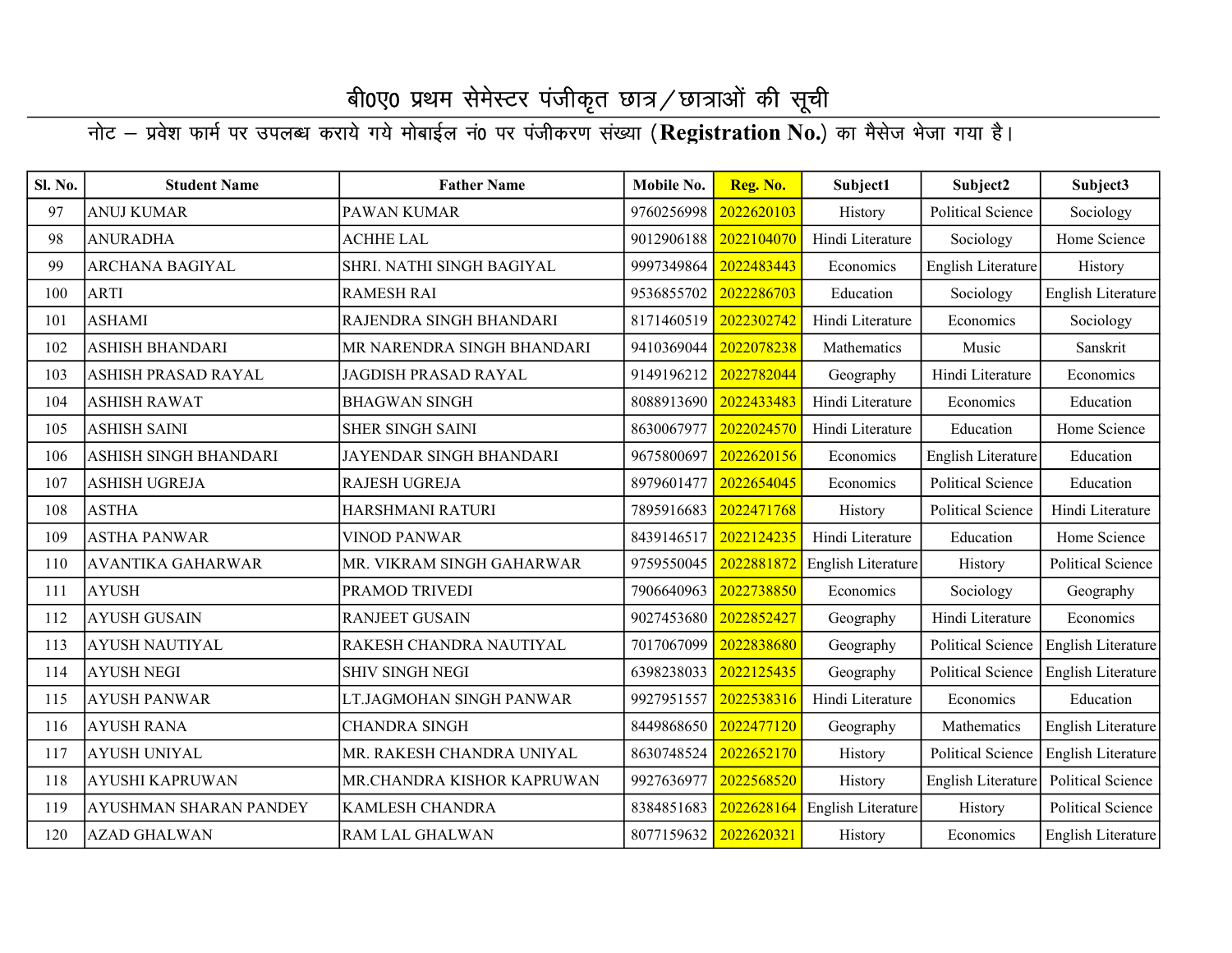| Sl. No. | <b>Student Name</b>      | <b>Father Name</b>         | Mobile No. | Reg. No.   | Subject1           | Subject2                 | Subject3                 |
|---------|--------------------------|----------------------------|------------|------------|--------------------|--------------------------|--------------------------|
| 97      | <b>ANUJ KUMAR</b>        | PAWAN KUMAR                | 9760256998 | 2022620103 | History            | Political Science        | Sociology                |
| 98      | <b>ANURADHA</b>          | <b>ACHHE LAL</b>           | 9012906188 | 2022104070 | Hindi Literature   | Sociology                | Home Science             |
| 99      | <b>ARCHANA BAGIYAL</b>   | SHRI. NATHI SINGH BAGIYAL  | 9997349864 | 2022483443 | Economics          | English Literature       | History                  |
| 100     | <b>ARTI</b>              | <b>RAMESH RAI</b>          | 9536855702 | 2022286703 | Education          | Sociology                | English Literature       |
| 101     | <b>ASHAMI</b>            | RAJENDRA SINGH BHANDARI    | 8171460519 | 2022302742 | Hindi Literature   | Economics                | Sociology                |
| 102     | <b>ASHISH BHANDARI</b>   | MR NARENDRA SINGH BHANDARI | 9410369044 | 2022078238 | Mathematics        | Music                    | Sanskrit                 |
| 103     | ASHISH PRASAD RAYAL      | JAGDISH PRASAD RAYAL       | 9149196212 | 2022782044 | Geography          | Hindi Literature         | Economics                |
| 104     | <b>ASHISH RAWAT</b>      | <b>BHAGWAN SINGH</b>       | 8088913690 | 2022433483 | Hindi Literature   | Economics                | Education                |
| 105     | <b>ASHISH SAINI</b>      | <b>SHER SINGH SAINI</b>    | 8630067977 | 2022024570 | Hindi Literature   | Education                | Home Science             |
| 106     | ASHISH SINGH BHANDARI    | JAYENDAR SINGH BHANDARI    | 9675800697 | 2022620156 | Economics          | English Literature       | Education                |
| 107     | <b>ASHISH UGREJA</b>     | <b>RAJESH UGREJA</b>       | 8979601477 | 2022654045 | Economics          | <b>Political Science</b> | Education                |
| 108     | <b>ASTHA</b>             | HARSHMANI RATURI           | 7895916683 | 2022471768 | History            | <b>Political Science</b> | Hindi Literature         |
| 109     | <b>ASTHA PANWAR</b>      | <b>VINOD PANWAR</b>        | 8439146517 | 2022124235 | Hindi Literature   | Education                | Home Science             |
| 110     | <b>AVANTIKA GAHARWAR</b> | MR. VIKRAM SINGH GAHARWAR  | 9759550045 | 2022881872 | English Literature | History                  | <b>Political Science</b> |
| 111     | <b>AYUSH</b>             | PRAMOD TRIVEDI             | 7906640963 | 2022738850 | Economics          | Sociology                | Geography                |
| 112     | <b>AYUSH GUSAIN</b>      | <b>RANJEET GUSAIN</b>      | 9027453680 | 2022852427 | Geography          | Hindi Literature         | Economics                |
| 113     | <b>AYUSH NAUTIYAL</b>    | RAKESH CHANDRA NAUTIYAL    | 7017067099 | 2022838680 | Geography          | <b>Political Science</b> | English Literature       |
| 114     | <b>AYUSH NEGI</b>        | <b>SHIV SINGH NEGI</b>     | 6398238033 | 2022125435 | Geography          | Political Science        | English Literature       |
| 115     | <b>AYUSH PANWAR</b>      | LT.JAGMOHAN SINGH PANWAR   | 9927951557 | 2022538316 | Hindi Literature   | Economics                | Education                |
| 116     | <b>AYUSH RANA</b>        | <b>CHANDRA SINGH</b>       | 8449868650 | 2022477120 | Geography          | Mathematics              | English Literature       |
| 117     | <b>AYUSH UNIYAL</b>      | MR. RAKESH CHANDRA UNIYAL  | 8630748524 | 2022652170 | History            | <b>Political Science</b> | English Literature       |
| 118     | <b>AYUSHI KAPRUWAN</b>   | MR.CHANDRA KISHOR KAPRUWAN | 9927636977 | 2022568520 | History            | English Literature       | <b>Political Science</b> |
| 119     | AYUSHMAN SHARAN PANDEY   | <b>KAMLESH CHANDRA</b>     | 8384851683 | 2022628164 | English Literature | History                  | <b>Political Science</b> |
| 120     | <b>AZAD GHALWAN</b>      | <b>RAM LAL GHALWAN</b>     | 8077159632 | 2022620321 | History            | Economics                | English Literature       |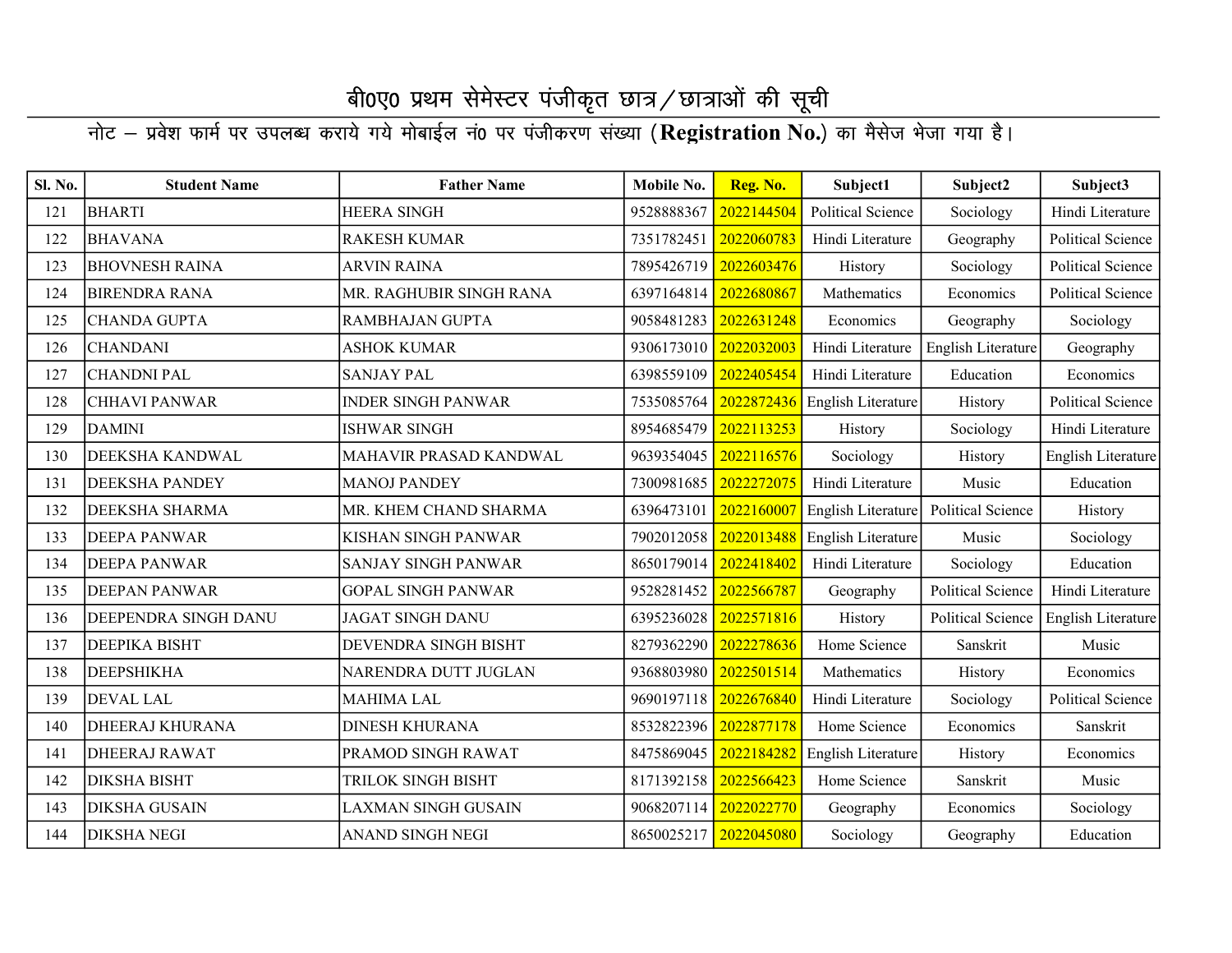| Sl. No. | <b>Student Name</b>    | <b>Father Name</b>         | Mobile No. | Reg. No.   | Subject1                 | Subject2                 | Subject3                 |
|---------|------------------------|----------------------------|------------|------------|--------------------------|--------------------------|--------------------------|
| 121     | <b>BHARTI</b>          | <b>HEERA SINGH</b>         | 9528888367 | 2022144504 | <b>Political Science</b> | Sociology                | Hindi Literature         |
| 122     | <b>BHAVANA</b>         | <b>RAKESH KUMAR</b>        | 7351782451 | 2022060783 | Hindi Literature         | Geography                | <b>Political Science</b> |
| 123     | <b>BHOVNESH RAINA</b>  | <b>ARVIN RAINA</b>         | 7895426719 | 2022603476 | History                  | Sociology                | <b>Political Science</b> |
| 124     | <b>BIRENDRA RANA</b>   | MR. RAGHUBIR SINGH RANA    | 6397164814 | 2022680867 | Mathematics              | Economics                | <b>Political Science</b> |
| 125     | <b>CHANDA GUPTA</b>    | RAMBHAJAN GUPTA            | 9058481283 | 2022631248 | Economics                | Geography                | Sociology                |
| 126     | <b>CHANDANI</b>        | <b>ASHOK KUMAR</b>         | 9306173010 | 2022032003 | Hindi Literature         | English Literature       | Geography                |
| 127     | <b>CHANDNI PAL</b>     | <b>SANJAY PAL</b>          | 6398559109 | 2022405454 | Hindi Literature         | Education                | Economics                |
| 128     | <b>CHHAVI PANWAR</b>   | <b>INDER SINGH PANWAR</b>  | 7535085764 | 2022872436 | English Literature       | History                  | Political Science        |
| 129     | <b>DAMINI</b>          | <b>ISHWAR SINGH</b>        | 8954685479 | 2022113253 | History                  | Sociology                | Hindi Literature         |
| 130     | DEEKSHA KANDWAL        | MAHAVIR PRASAD KANDWAL     | 9639354045 | 2022116576 | Sociology                | History                  | English Literature       |
| 131     | <b>DEEKSHA PANDEY</b>  | <b>MANOJ PANDEY</b>        | 7300981685 | 2022272075 | Hindi Literature         | Music                    | Education                |
| 132     | DEEKSHA SHARMA         | MR. KHEM CHAND SHARMA      | 6396473101 | 2022160007 | English Literature       | <b>Political Science</b> | History                  |
| 133     | <b>DEEPA PANWAR</b>    | <b>KISHAN SINGH PANWAR</b> | 7902012058 | 2022013488 | English Literature       | Music                    | Sociology                |
| 134     | <b>DEEPA PANWAR</b>    | SANJAY SINGH PANWAR        | 8650179014 | 2022418402 | Hindi Literature         | Sociology                | Education                |
| 135     | <b>DEEPAN PANWAR</b>   | <b>GOPAL SINGH PANWAR</b>  | 9528281452 | 2022566787 | Geography                | <b>Political Science</b> | Hindi Literature         |
| 136     | DEEPENDRA SINGH DANU   | <b>JAGAT SINGH DANU</b>    | 6395236028 | 2022571816 | History                  | <b>Political Science</b> | English Literature       |
| 137     | DEEPIKA BISHT          | DEVENDRA SINGH BISHT       | 8279362290 | 2022278636 | Home Science             | Sanskrit                 | Music                    |
| 138     | <b>DEEPSHIKHA</b>      | NARENDRA DUTT JUGLAN       | 9368803980 | 2022501514 | Mathematics              | History                  | Economics                |
| 139     | <b>DEVAL LAL</b>       | <b>MAHIMA LAL</b>          | 9690197118 | 2022676840 | Hindi Literature         | Sociology                | <b>Political Science</b> |
| 140     | <b>DHEERAJ KHURANA</b> | <b>DINESH KHURANA</b>      | 8532822396 | 2022877178 | Home Science             | Economics                | Sanskrit                 |
| 141     | <b>DHEERAJ RAWAT</b>   | PRAMOD SINGH RAWAT         | 8475869045 | 2022184282 | English Literature       | History                  | Economics                |
| 142     | <b>DIKSHA BISHT</b>    | <b>TRILOK SINGH BISHT</b>  | 8171392158 | 2022566423 | Home Science             | Sanskrit                 | Music                    |
| 143     | <b>DIKSHA GUSAIN</b>   | <b>LAXMAN SINGH GUSAIN</b> | 9068207114 | 2022022770 | Geography                | Economics                | Sociology                |
| 144     | <b>DIKSHA NEGI</b>     | <b>ANAND SINGH NEGI</b>    | 8650025217 | 2022045080 | Sociology                | Geography                | Education                |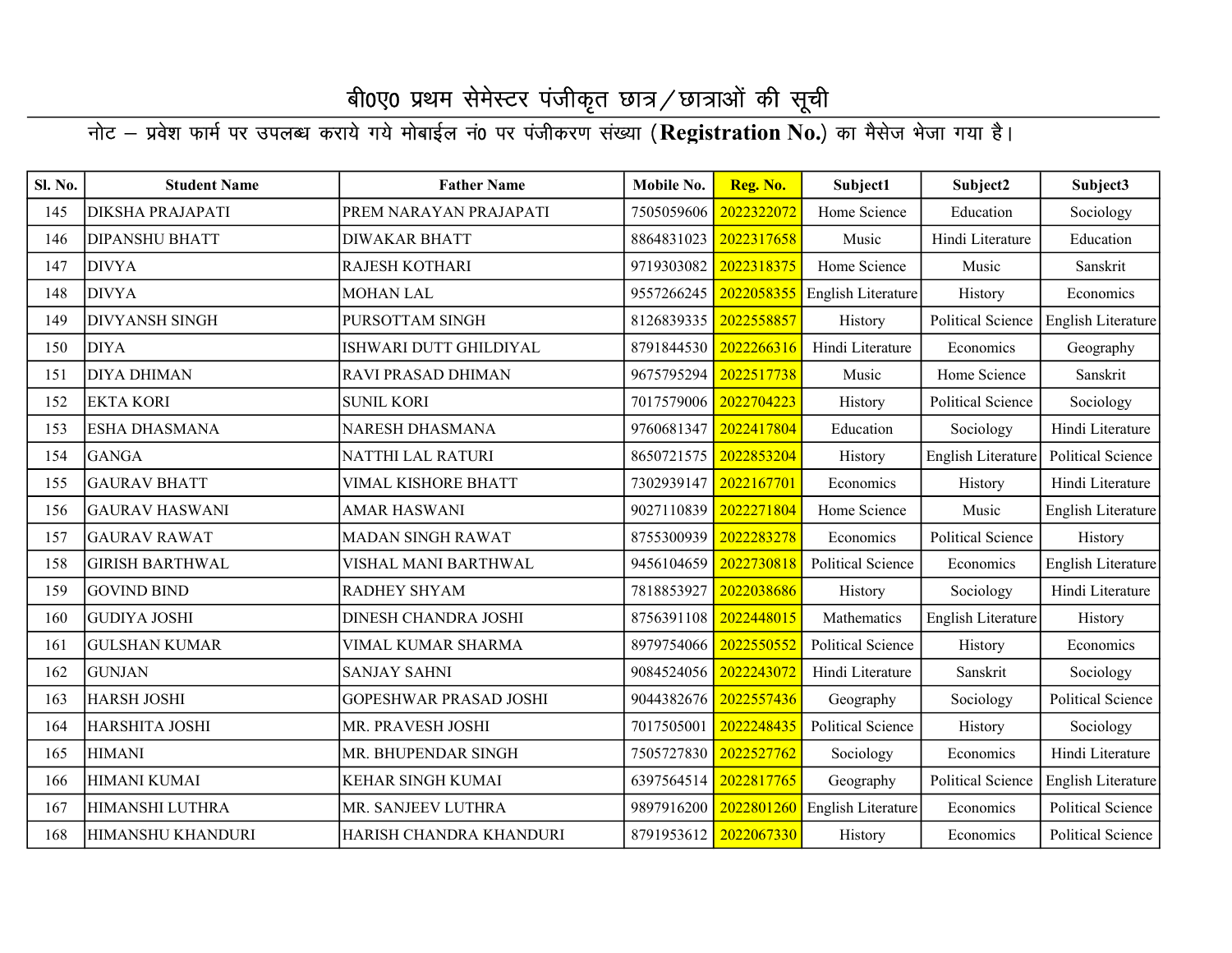| Sl. No. | <b>Student Name</b>     | <b>Father Name</b>            | Mobile No. | Reg. No.   | Subject1                 | Subject2                 | Subject3                 |
|---------|-------------------------|-------------------------------|------------|------------|--------------------------|--------------------------|--------------------------|
| 145     | <b>DIKSHA PRAJAPATI</b> | PREM NARAYAN PRAJAPATI        | 7505059606 | 2022322072 | Home Science             | Education                | Sociology                |
| 146     | <b>DIPANSHU BHATT</b>   | <b>DIWAKAR BHATT</b>          | 8864831023 | 2022317658 | Music                    | Hindi Literature         | Education                |
| 147     | <b>DIVYA</b>            | <b>RAJESH KOTHARI</b>         | 9719303082 | 2022318375 | Home Science             | Music                    | Sanskrit                 |
| 148     | <b>DIVYA</b>            | <b>MOHAN LAL</b>              | 9557266245 | 2022058355 | English Literature       | History                  | Economics                |
| 149     | <b>DIVYANSH SINGH</b>   | PURSOTTAM SINGH               | 8126839335 | 2022558857 | History                  | <b>Political Science</b> | English Literature       |
| 150     | <b>DIYA</b>             | ISHWARI DUTT GHILDIYAL        | 8791844530 | 2022266316 | Hindi Literature         | Economics                | Geography                |
| 151     | <b>DIYA DHIMAN</b>      | <b>RAVI PRASAD DHIMAN</b>     | 9675795294 | 2022517738 | Music                    | Home Science             | Sanskrit                 |
| 152     | <b>EKTA KORI</b>        | <b>SUNIL KORI</b>             | 7017579006 | 2022704223 | History                  | Political Science        | Sociology                |
| 153     | <b>ESHA DHASMANA</b>    | <b>NARESH DHASMANA</b>        | 9760681347 | 2022417804 | Education                | Sociology                | Hindi Literature         |
| 154     | <b>GANGA</b>            | NATTHI LAL RATURI             | 8650721575 | 2022853204 | History                  | English Literature       | Political Science        |
| 155     | <b>GAURAV BHATT</b>     | <b>VIMAL KISHORE BHATT</b>    | 7302939147 | 2022167701 | Economics                | History                  | Hindi Literature         |
| 156     | <b>GAURAV HASWANI</b>   | <b>AMAR HASWANI</b>           | 9027110839 | 2022271804 | Home Science             | Music                    | English Literature       |
| 157     | <b>GAURAV RAWAT</b>     | <b>MADAN SINGH RAWAT</b>      | 8755300939 | 2022283278 | Economics                | <b>Political Science</b> | History                  |
| 158     | <b>GIRISH BARTHWAL</b>  | VISHAL MANI BARTHWAL          | 9456104659 | 2022730818 | <b>Political Science</b> | Economics                | English Literature       |
| 159     | <b>GOVIND BIND</b>      | <b>RADHEY SHYAM</b>           | 7818853927 | 2022038686 | History                  | Sociology                | Hindi Literature         |
| 160     | <b>GUDIYA JOSHI</b>     | DINESH CHANDRA JOSHI          | 8756391108 | 2022448015 | Mathematics              | English Literature       | History                  |
| 161     | <b>GULSHAN KUMAR</b>    | VIMAL KUMAR SHARMA            | 8979754066 | 2022550552 | <b>Political Science</b> | History                  | Economics                |
| 162     | <b>GUNJAN</b>           | <b>SANJAY SAHNI</b>           | 9084524056 | 2022243072 | Hindi Literature         | Sanskrit                 | Sociology                |
| 163     | <b>HARSH JOSHI</b>      | <b>GOPESHWAR PRASAD JOSHI</b> | 9044382676 | 2022557436 | Geography                | Sociology                | <b>Political Science</b> |
| 164     | HARSHITA JOSHI          | MR. PRAVESH JOSHI             | 7017505001 | 2022248435 | <b>Political Science</b> | History                  | Sociology                |
| 165     | <b>HIMANI</b>           | MR. BHUPENDAR SINGH           | 7505727830 | 2022527762 | Sociology                | Economics                | Hindi Literature         |
| 166     | HIMANI KUMAI            | <b>KEHAR SINGH KUMAI</b>      | 6397564514 | 2022817765 | Geography                | <b>Political Science</b> | English Literature       |
| 167     | HIMANSHI LUTHRA         | MR. SANJEEV LUTHRA            | 9897916200 | 2022801260 | English Literature       | Economics                | <b>Political Science</b> |
| 168     | HIMANSHU KHANDURI       | HARISH CHANDRA KHANDURI       | 8791953612 | 2022067330 | History                  | Economics                | Political Science        |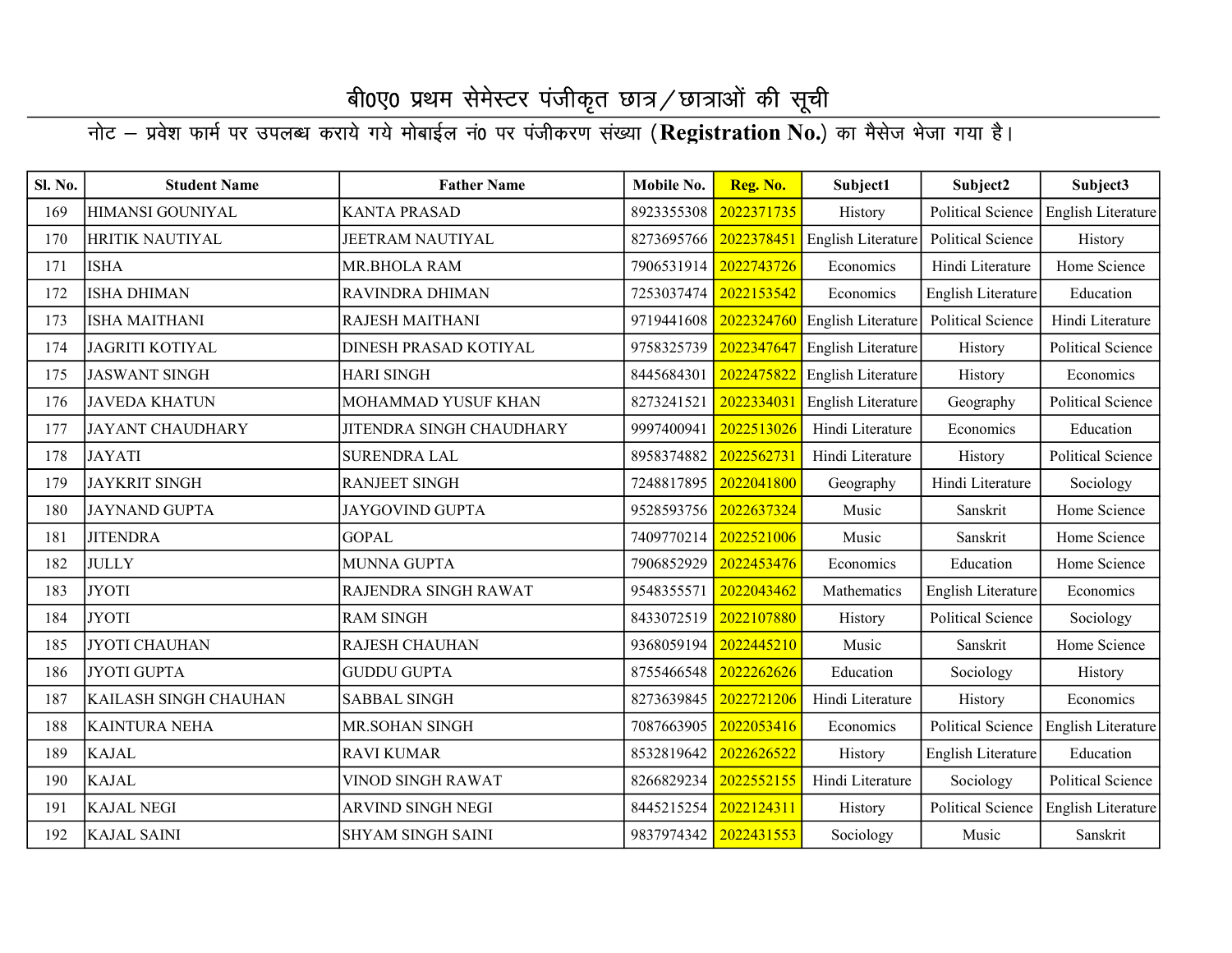| Sl. No. | <b>Student Name</b>     | <b>Father Name</b>       | Mobile No. | Reg. No.   | Subject1                  | Subject2                 | Subject3                 |
|---------|-------------------------|--------------------------|------------|------------|---------------------------|--------------------------|--------------------------|
| 169     | HIMANSI GOUNIYAL        | <b>KANTA PRASAD</b>      | 8923355308 | 2022371735 | History                   | <b>Political Science</b> | English Literature       |
| 170     | HRITIK NAUTIYAL         | <b>JEETRAM NAUTIYAL</b>  | 8273695766 | 2022378451 | <b>English Literature</b> | <b>Political Science</b> | History                  |
| 171     | <b>ISHA</b>             | MR.BHOLA RAM             | 7906531914 | 2022743726 | Economics                 | Hindi Literature         | Home Science             |
| 172     | <b>ISHA DHIMAN</b>      | RAVINDRA DHIMAN          | 7253037474 | 2022153542 | Economics                 | English Literature       | Education                |
| 173     | <b>ISHA MAITHANI</b>    | RAJESH MAITHANI          | 9719441608 | 2022324760 | English Literature        | <b>Political Science</b> | Hindi Literature         |
| 174     | <b>JAGRITI KOTIYAL</b>  | DINESH PRASAD KOTIYAL    | 9758325739 | 2022347647 | English Literature        | History                  | Political Science        |
| 175     | <b>JASWANT SINGH</b>    | <b>HARI SINGH</b>        | 8445684301 | 2022475822 | English Literature        | History                  | Economics                |
| 176     | <b>JAVEDA KHATUN</b>    | MOHAMMAD YUSUF KHAN      | 8273241521 | 2022334031 | English Literature        | Geography                | Political Science        |
| 177     | <b>JAYANT CHAUDHARY</b> | JITENDRA SINGH CHAUDHARY | 9997400941 | 2022513026 | Hindi Literature          | Economics                | Education                |
| 178     | <b>JAYATI</b>           | <b>SURENDRA LAL</b>      | 8958374882 | 2022562731 | Hindi Literature          | History                  | Political Science        |
| 179     | <b>JAYKRIT SINGH</b>    | <b>RANJEET SINGH</b>     | 7248817895 | 2022041800 | Geography                 | Hindi Literature         | Sociology                |
| 180     | <b>JAYNAND GUPTA</b>    | <b>JAYGOVIND GUPTA</b>   | 9528593756 | 2022637324 | Music                     | Sanskrit                 | Home Science             |
| 181     | <b>JITENDRA</b>         | <b>GOPAL</b>             | 7409770214 | 2022521006 | Music                     | Sanskrit                 | Home Science             |
| 182     | <b>JULLY</b>            | <b>MUNNA GUPTA</b>       | 7906852929 | 2022453476 | Economics                 | Education                | Home Science             |
| 183     | <b>JYOTI</b>            | RAJENDRA SINGH RAWAT     | 9548355571 | 2022043462 | Mathematics               | English Literature       | Economics                |
| 184     | <b>JYOTI</b>            | <b>RAM SINGH</b>         | 8433072519 | 2022107880 | History                   | <b>Political Science</b> | Sociology                |
| 185     | <b>JYOTI CHAUHAN</b>    | <b>RAJESH CHAUHAN</b>    | 9368059194 | 2022445210 | Music                     | Sanskrit                 | Home Science             |
| 186     | <b>JYOTI GUPTA</b>      | <b>GUDDU GUPTA</b>       | 8755466548 | 2022262626 | Education                 | Sociology                | History                  |
| 187     | KAILASH SINGH CHAUHAN   | <b>SABBAL SINGH</b>      | 8273639845 | 2022721206 | Hindi Literature          | History                  | Economics                |
| 188     | <b>KAINTURA NEHA</b>    | <b>MR.SOHAN SINGH</b>    | 7087663905 | 2022053416 | Economics                 | <b>Political Science</b> | English Literature       |
| 189     | <b>KAJAL</b>            | <b>RAVI KUMAR</b>        | 8532819642 | 2022626522 | History                   | English Literature       | Education                |
| 190     | <b>KAJAL</b>            | <b>VINOD SINGH RAWAT</b> | 8266829234 | 2022552155 | Hindi Literature          | Sociology                | <b>Political Science</b> |
| 191     | <b>KAJAL NEGI</b>       | ARVIND SINGH NEGI        | 8445215254 | 2022124311 | History                   | <b>Political Science</b> | English Literature       |
| 192     | <b>KAJAL SAINI</b>      | <b>SHYAM SINGH SAINI</b> | 9837974342 | 2022431553 | Sociology                 | Music                    | Sanskrit                 |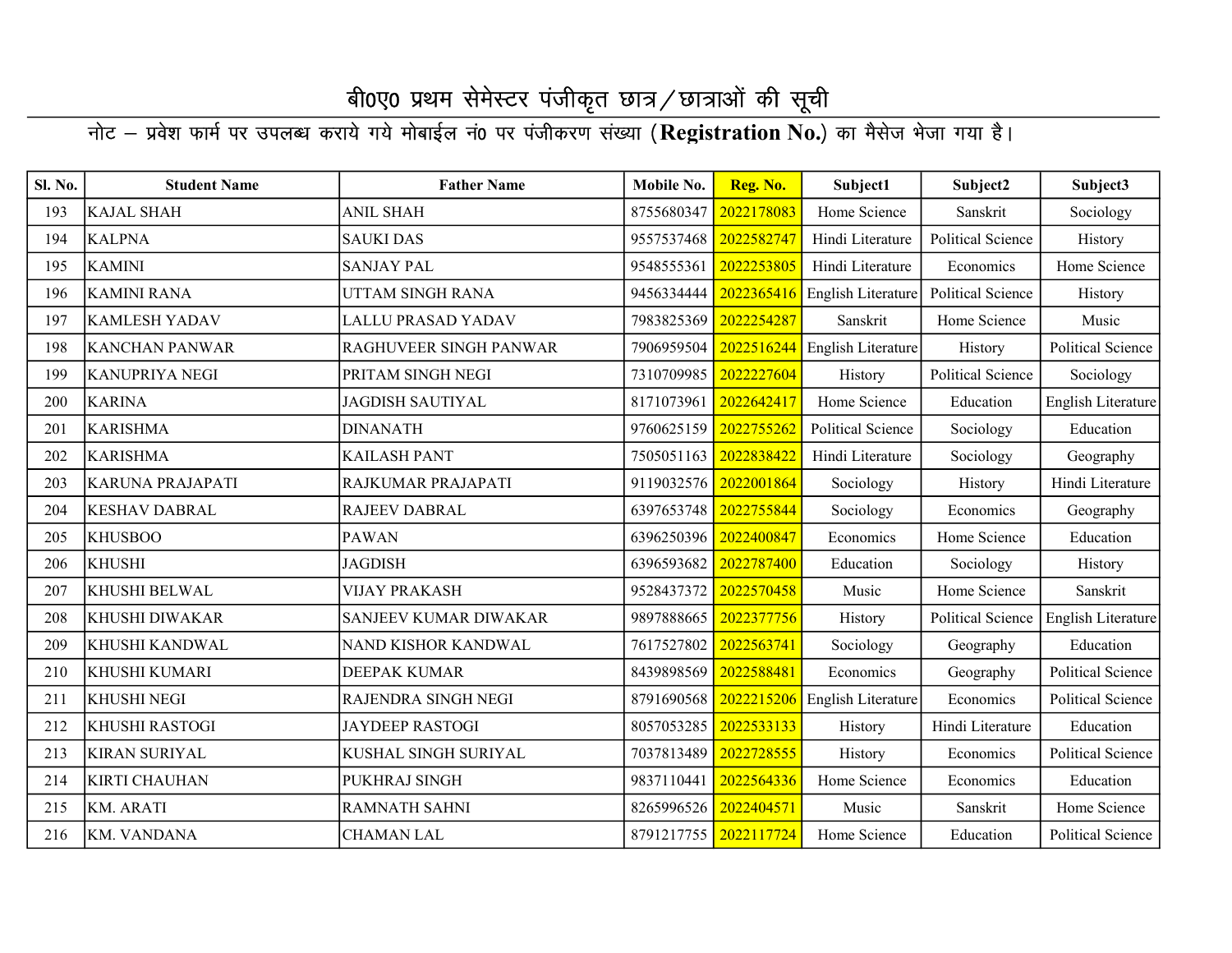| Sl. No. | <b>Student Name</b>     | <b>Father Name</b>     | Mobile No.            | Reg. No.   | Subject1                      | Subject2                 | Subject3                  |
|---------|-------------------------|------------------------|-----------------------|------------|-------------------------------|--------------------------|---------------------------|
| 193     | <b>KAJAL SHAH</b>       | <b>ANIL SHAH</b>       | 8755680347            | 2022178083 | Home Science                  | Sanskrit                 | Sociology                 |
| 194     | <b>KALPNA</b>           | <b>SAUKI DAS</b>       | 9557537468            | 2022582747 | Hindi Literature              | Political Science        | History                   |
| 195     | <b>KAMINI</b>           | <b>SANJAY PAL</b>      | 9548555361            | 2022253805 | Hindi Literature              | Economics                | Home Science              |
| 196     | <b>KAMINI RANA</b>      | UTTAM SINGH RANA       | 9456334444            | 2022365416 | English Literature            | Political Science        | History                   |
| 197     | <b>KAMLESH YADAV</b>    | LALLU PRASAD YADAV     | 7983825369            | 2022254287 | Sanskrit                      | Home Science             | Music                     |
| 198     | <b>KANCHAN PANWAR</b>   | RAGHUVEER SINGH PANWAR | 7906959504            | 2022516244 | English Literature            | History                  | Political Science         |
| 199     | <b>KANUPRIYA NEGI</b>   | PRITAM SINGH NEGI      | 7310709985            | 2022227604 | History                       | <b>Political Science</b> | Sociology                 |
| 200     | <b>KARINA</b>           | JAGDISH SAUTIYAL       | 8171073961            | 2022642417 | Home Science                  | Education                | <b>English Literature</b> |
| 201     | <b>KARISHMA</b>         | <b>DINANATH</b>        | 9760625159            | 2022755262 | Political Science             | Sociology                | Education                 |
| 202     | <b>KARISHMA</b>         | KAILASH PANT           | 7505051163            | 2022838422 | Hindi Literature              | Sociology                | Geography                 |
| 203     | <b>KARUNA PRAJAPATI</b> | RAJKUMAR PRAJAPATI     | 9119032576            | 2022001864 | Sociology                     | History                  | Hindi Literature          |
| 204     | <b>KESHAV DABRAL</b>    | RAJEEV DABRAL          | 6397653748 2022755844 |            | Sociology                     | Economics                | Geography                 |
| 205     | <b>KHUSBOO</b>          | <b>PAWAN</b>           | 6396250396            | 2022400847 | Economics                     | Home Science             | Education                 |
| 206     | <b>KHUSHI</b>           | <b>JAGDISH</b>         | 6396593682            | 2022787400 | Education                     | Sociology                | History                   |
| 207     | KHUSHI BELWAL           | <b>VIJAY PRAKASH</b>   | 9528437372            | 2022570458 | Music                         | Home Science             | Sanskrit                  |
| 208     | <b>KHUSHI DIWAKAR</b>   | SANJEEV KUMAR DIWAKAR  | 9897888665            | 2022377756 | History                       | Political Science        | English Literature        |
| 209     | <b>KHUSHI KANDWAL</b>   | NAND KISHOR KANDWAL    | 7617527802            | 2022563741 | Sociology                     | Geography                | Education                 |
| 210     | KHUSHI KUMARI           | DEEPAK KUMAR           | 8439898569            | 2022588481 | Economics                     | Geography                | <b>Political Science</b>  |
| 211     | <b>KHUSHI NEGI</b>      | RAJENDRA SINGH NEGI    | 8791690568            |            | 2022215206 English Literature | Economics                | <b>Political Science</b>  |
| 212     | <b>KHUSHI RASTOGI</b>   | <b>JAYDEEP RASTOGI</b> | 8057053285            | 2022533133 | History                       | Hindi Literature         | Education                 |
| 213     | <b>KIRAN SURIYAL</b>    | KUSHAL SINGH SURIYAL   | 7037813489            | 2022728555 | History                       | Economics                | Political Science         |
| 214     | <b>KIRTI CHAUHAN</b>    | PUKHRAJ SINGH          | 9837110441            | 2022564336 | Home Science                  | Economics                | Education                 |
| 215     | <b>KM. ARATI</b>        | <b>RAMNATH SAHNI</b>   | 8265996526            | 2022404571 | Music                         | Sanskrit                 | Home Science              |
| 216     | <b>KM. VANDANA</b>      | <b>CHAMAN LAL</b>      | 8791217755 2022117724 |            | Home Science                  | Education                | Political Science         |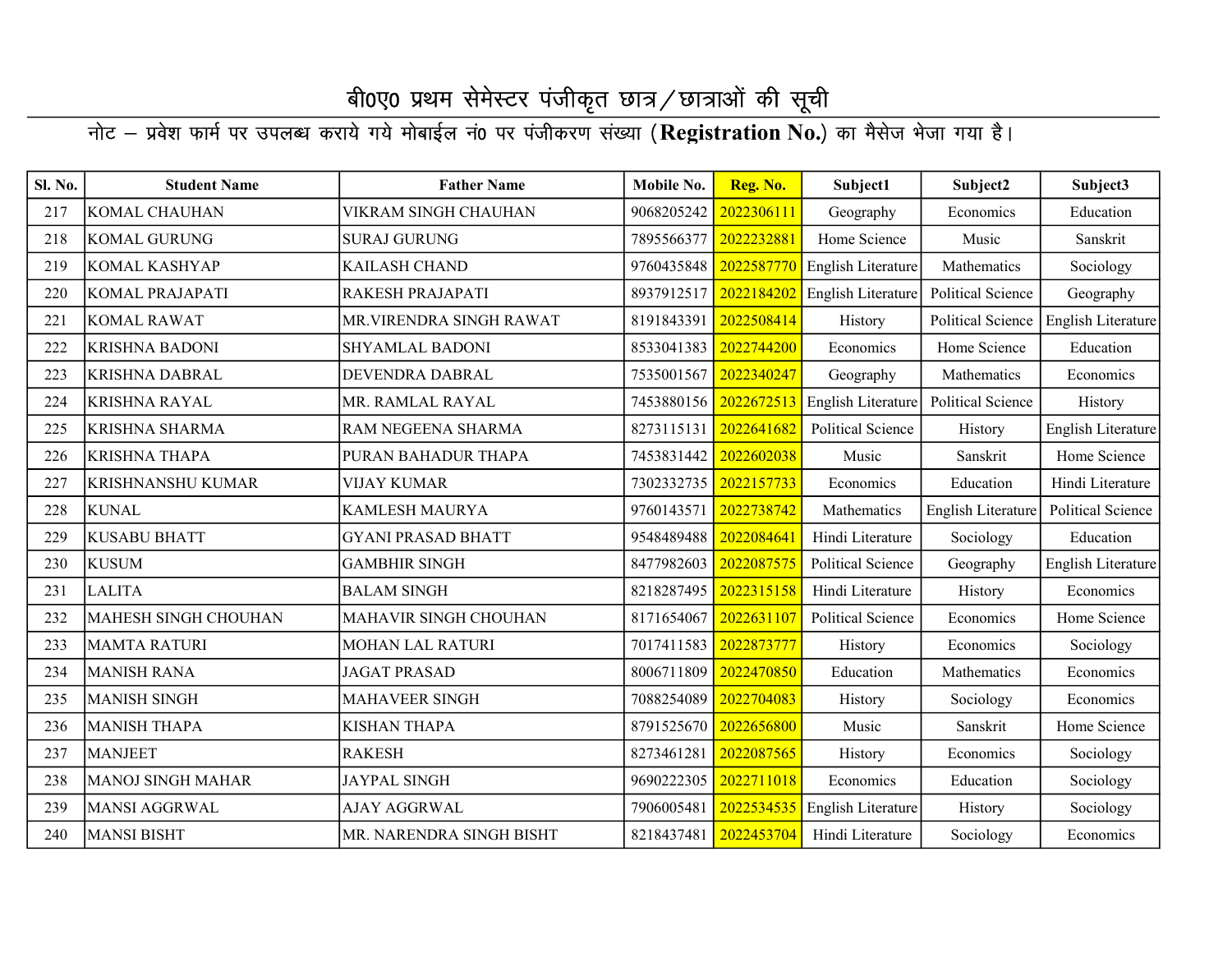| Sl. No. | <b>Student Name</b>      | <b>Father Name</b>        | Mobile No. | Reg. No.   | Subject1                 | Subject2                 | Subject3                 |
|---------|--------------------------|---------------------------|------------|------------|--------------------------|--------------------------|--------------------------|
| 217     | KOMAL CHAUHAN            | VIKRAM SINGH CHAUHAN      | 9068205242 | 2022306111 | Geography                | Economics                | Education                |
| 218     | <b>KOMAL GURUNG</b>      | <b>SURAJ GURUNG</b>       | 7895566377 | 2022232881 | Home Science             | Music                    | Sanskrit                 |
| 219     | KOMAL KASHYAP            | KAILASH CHAND             | 9760435848 | 2022587770 | English Literature       | Mathematics              | Sociology                |
| 220     | KOMAL PRAJAPATI          | RAKESH PRAJAPATI          | 8937912517 | 2022184202 | English Literature       | Political Science        | Geography                |
| 221     | <b>KOMAL RAWAT</b>       | MR.VIRENDRA SINGH RAWAT   | 8191843391 | 2022508414 | History                  | Political Science        | English Literature       |
| 222     | <b>KRISHNA BADONI</b>    | <b>SHYAMLAL BADONI</b>    | 8533041383 | 2022744200 | Economics                | Home Science             | Education                |
| 223     | KRISHNA DABRAL           | DEVENDRA DABRAL           | 7535001567 | 2022340247 | Geography                | Mathematics              | Economics                |
| 224     | <b>KRISHNA RAYAL</b>     | MR. RAMLAL RAYAL          | 7453880156 | 2022672513 | English Literature       | <b>Political Science</b> | History                  |
| 225     | <b>KRISHNA SHARMA</b>    | RAM NEGEENA SHARMA        | 8273115131 | 2022641682 | <b>Political Science</b> | History                  | English Literature       |
| 226     | <b>KRISHNA THAPA</b>     | PURAN BAHADUR THAPA       | 7453831442 | 2022602038 | Music                    | Sanskrit                 | Home Science             |
| 227     | <b>KRISHNANSHU KUMAR</b> | <b>VIJAY KUMAR</b>        | 7302332735 | 2022157733 | Economics                | Education                | Hindi Literature         |
| 228     | <b>KUNAL</b>             | <b>KAMLESH MAURYA</b>     | 9760143571 | 2022738742 | Mathematics              | English Literature       | <b>Political Science</b> |
| 229     | <b>KUSABU BHATT</b>      | <b>GYANI PRASAD BHATT</b> | 9548489488 | 2022084641 | Hindi Literature         | Sociology                | Education                |
| 230     | <b>KUSUM</b>             | <b>GAMBHIR SINGH</b>      | 8477982603 | 2022087575 | <b>Political Science</b> | Geography                | English Literature       |
| 231     | <b>LALITA</b>            | <b>BALAM SINGH</b>        | 8218287495 | 2022315158 | Hindi Literature         | History                  | Economics                |
| 232     | MAHESH SINGH CHOUHAN     | MAHAVIR SINGH CHOUHAN     | 8171654067 | 2022631107 | <b>Political Science</b> | Economics                | Home Science             |
| 233     | <b>MAMTA RATURI</b>      | <b>MOHAN LAL RATURI</b>   | 7017411583 | 2022873777 | History                  | Economics                | Sociology                |
| 234     | <b>MANISH RANA</b>       | <b>JAGAT PRASAD</b>       | 8006711809 | 2022470850 | Education                | Mathematics              | Economics                |
| 235     | <b>MANISH SINGH</b>      | <b>MAHAVEER SINGH</b>     | 7088254089 | 2022704083 | History                  | Sociology                | Economics                |
| 236     | <b>MANISH THAPA</b>      | <b>KISHAN THAPA</b>       | 8791525670 | 2022656800 | Music                    | Sanskrit                 | Home Science             |
| 237     | <b>MANJEET</b>           | <b>RAKESH</b>             | 8273461281 | 2022087565 | History                  | Economics                | Sociology                |
| 238     | <b>MANOJ SINGH MAHAR</b> | <b>JAYPAL SINGH</b>       | 9690222305 | 2022711018 | Economics                | Education                | Sociology                |
| 239     | <b>MANSI AGGRWAL</b>     | AJAY AGGRWAL              | 7906005481 | 2022534535 | English Literature       | History                  | Sociology                |
| 240     | <b>MANSI BISHT</b>       | MR. NARENDRA SINGH BISHT  | 8218437481 | 2022453704 | Hindi Literature         | Sociology                | Economics                |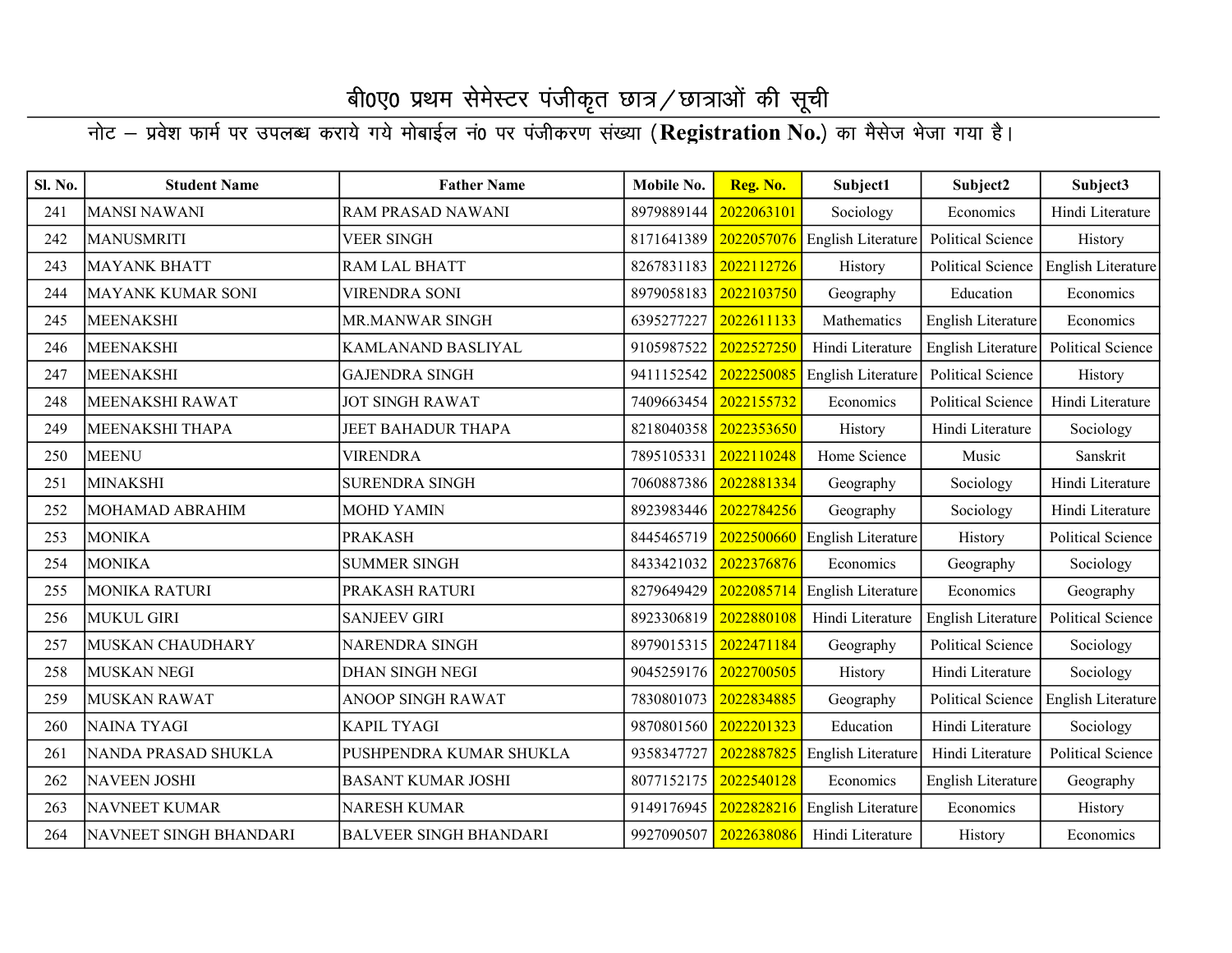| Sl. No. | <b>Student Name</b>    | <b>Father Name</b>            | Mobile No. | Reg. No.   | Subject1           | Subject2                 | Subject3                 |
|---------|------------------------|-------------------------------|------------|------------|--------------------|--------------------------|--------------------------|
| 241     | <b>MANSI NAWANI</b>    | RAM PRASAD NAWANI             | 8979889144 | 2022063101 | Sociology          | Economics                | Hindi Literature         |
| 242     | <b>MANUSMRITI</b>      | <b>VEER SINGH</b>             | 8171641389 | 2022057076 | English Literature | Political Science        | History                  |
| 243     | <b>MAYANK BHATT</b>    | <b>RAM LAL BHATT</b>          | 8267831183 | 2022112726 | History            | Political Science        | English Literature       |
| 244     | MAYANK KUMAR SONI      | <b>VIRENDRA SONI</b>          | 8979058183 | 2022103750 | Geography          | Education                | Economics                |
| 245     | <b>MEENAKSHI</b>       | <b>MR.MANWAR SINGH</b>        | 6395277227 | 2022611133 | Mathematics        | English Literature       | Economics                |
| 246     | <b>MEENAKSHI</b>       | KAMLANAND BASLIYAL            | 9105987522 | 2022527250 | Hindi Literature   | English Literature       | Political Science        |
| 247     | <b>MEENAKSHI</b>       | <b>GAJENDRA SINGH</b>         | 9411152542 | 2022250085 | English Literature | <b>Political Science</b> | History                  |
| 248     | MEENAKSHI RAWAT        | <b>JOT SINGH RAWAT</b>        | 7409663454 | 2022155732 | Economics          | <b>Political Science</b> | Hindi Literature         |
| 249     | MEENAKSHI THAPA        | <b>JEET BAHADUR THAPA</b>     | 8218040358 | 2022353650 | History            | Hindi Literature         | Sociology                |
| 250     | <b>MEENU</b>           | <b>VIRENDRA</b>               | 7895105331 | 2022110248 | Home Science       | Music                    | Sanskrit                 |
| 251     | <b>MINAKSHI</b>        | <b>SURENDRA SINGH</b>         | 7060887386 | 2022881334 | Geography          | Sociology                | Hindi Literature         |
| 252     | MOHAMAD ABRAHIM        | <b>MOHD YAMIN</b>             | 8923983446 | 2022784256 | Geography          | Sociology                | Hindi Literature         |
| 253     | <b>MONIKA</b>          | <b>PRAKASH</b>                | 8445465719 | 2022500660 | English Literature | History                  | <b>Political Science</b> |
| 254     | <b>MONIKA</b>          | <b>SUMMER SINGH</b>           | 8433421032 | 2022376876 | Economics          | Geography                | Sociology                |
| 255     | <b>MONIKA RATURI</b>   | PRAKASH RATURI                | 8279649429 | 2022085714 | English Literature | Economics                | Geography                |
| 256     | <b>MUKUL GIRI</b>      | <b>SANJEEV GIRI</b>           | 8923306819 | 2022880108 | Hindi Literature   | English Literature       | Political Science        |
| 257     | MUSKAN CHAUDHARY       | <b>NARENDRA SINGH</b>         | 8979015315 | 2022471184 | Geography          | <b>Political Science</b> | Sociology                |
| 258     | <b>MUSKAN NEGI</b>     | <b>DHAN SINGH NEGI</b>        | 9045259176 | 2022700505 | History            | Hindi Literature         | Sociology                |
| 259     | <b>MUSKAN RAWAT</b>    | ANOOP SINGH RAWAT             | 7830801073 | 2022834885 | Geography          | <b>Political Science</b> | English Literature       |
| 260     | <b>NAINA TYAGI</b>     | <b>KAPIL TYAGI</b>            | 9870801560 | 2022201323 | Education          | Hindi Literature         | Sociology                |
| 261     | NANDA PRASAD SHUKLA    | PUSHPENDRA KUMAR SHUKLA       | 9358347727 | 2022887825 | English Literature | Hindi Literature         | <b>Political Science</b> |
| 262     | <b>NAVEEN JOSHI</b>    | <b>BASANT KUMAR JOSHI</b>     | 8077152175 | 2022540128 | Economics          | English Literature       | Geography                |
| 263     | <b>NAVNEET KUMAR</b>   | NARESH KUMAR                  | 9149176945 | 2022828216 | English Literature | Economics                | History                  |
| 264     | NAVNEET SINGH BHANDARI | <b>BALVEER SINGH BHANDARI</b> | 9927090507 | 2022638086 | Hindi Literature   | History                  | Economics                |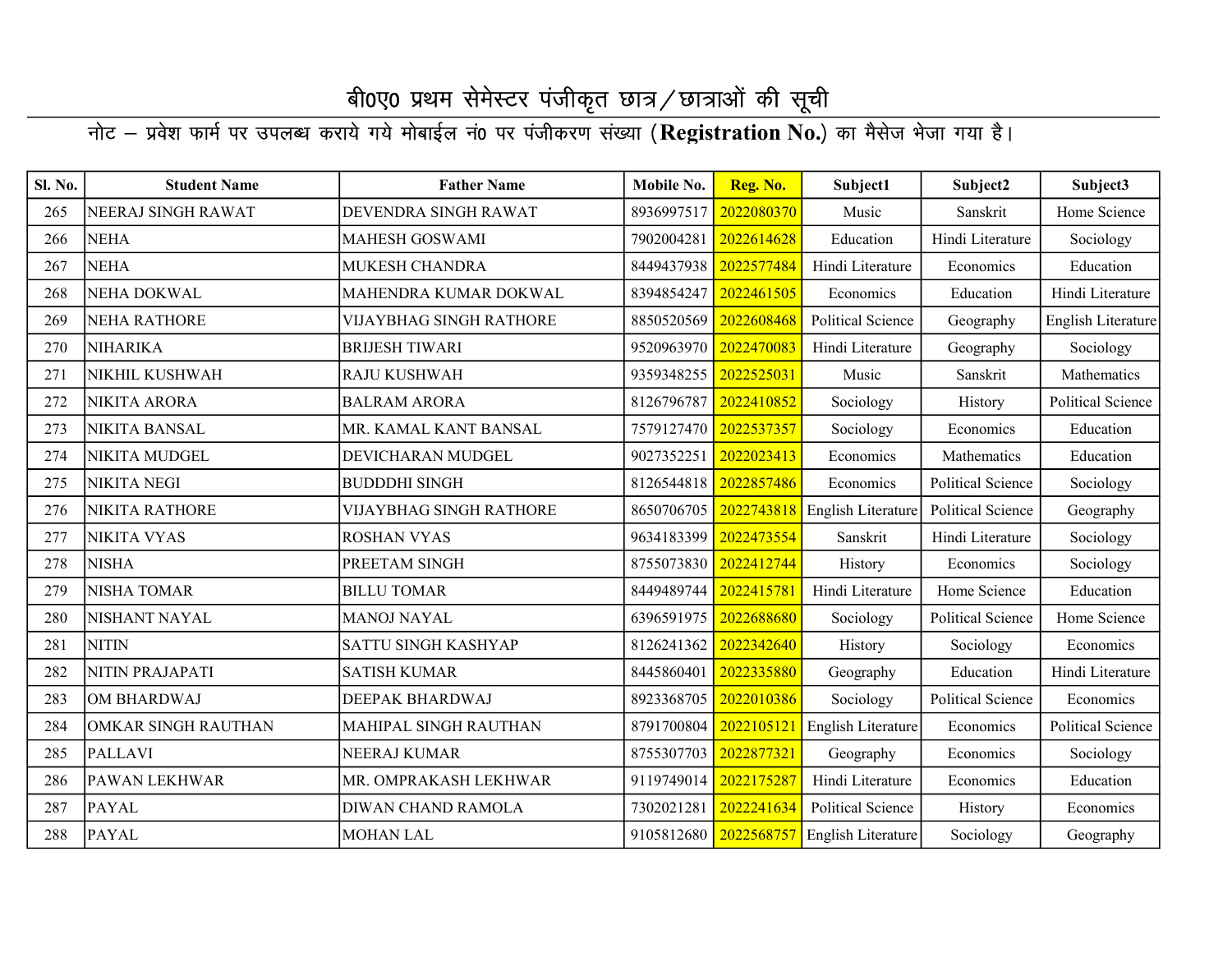| Sl. No. | <b>Student Name</b>   | <b>Father Name</b>             | Mobile No.            | Reg. No.   | Subject1                 | Subject2                 | Subject3                 |
|---------|-----------------------|--------------------------------|-----------------------|------------|--------------------------|--------------------------|--------------------------|
| 265     | NEERAJ SINGH RAWAT    | DEVENDRA SINGH RAWAT           | 8936997517            | 2022080370 | Music                    | Sanskrit                 | Home Science             |
| 266     | <b>NEHA</b>           | <b>MAHESH GOSWAMI</b>          | 7902004281            | 2022614628 | Education                | Hindi Literature         | Sociology                |
| 267     | <b>NEHA</b>           | MUKESH CHANDRA                 | 8449437938            | 2022577484 | Hindi Literature         | Economics                | Education                |
| 268     | <b>NEHA DOKWAL</b>    | MAHENDRA KUMAR DOKWAL          | 8394854247            | 2022461505 | Economics                | Education                | Hindi Literature         |
| 269     | <b>NEHA RATHORE</b>   | VIJAYBHAG SINGH RATHORE        | 8850520569            | 2022608468 | <b>Political Science</b> | Geography                | English Literature       |
| 270     | <b>NIHARIKA</b>       | <b>BRIJESH TIWARI</b>          | 9520963970            | 2022470083 | Hindi Literature         | Geography                | Sociology                |
| 271     | NIKHIL KUSHWAH        | RAJU KUSHWAH                   | 9359348255            | 2022525031 | Music                    | Sanskrit                 | Mathematics              |
| 272     | NIKITA ARORA          | <b>BALRAM ARORA</b>            | 8126796787            | 2022410852 | Sociology                | History                  | <b>Political Science</b> |
| 273     | <b>NIKITA BANSAL</b>  | MR. KAMAL KANT BANSAL          | 7579127470            | 2022537357 | Sociology                | Economics                | Education                |
| 274     | NIKITA MUDGEL         | DEVICHARAN MUDGEL              | 9027352251            | 2022023413 | Economics                | Mathematics              | Education                |
| 275     | <b>NIKITA NEGI</b>    | <b>BUDDDHI SINGH</b>           | 8126544818            | 2022857486 | Economics                | <b>Political Science</b> | Sociology                |
| 276     | <b>NIKITA RATHORE</b> | <b>VIJAYBHAG SINGH RATHORE</b> | 8650706705            | 2022743818 | English Literature       | <b>Political Science</b> | Geography                |
| 277     | <b>NIKITA VYAS</b>    | <b>ROSHAN VYAS</b>             | 9634183399            | 2022473554 | Sanskrit                 | Hindi Literature         | Sociology                |
| 278     | <b>NISHA</b>          | PREETAM SINGH                  | 8755073830            | 2022412744 | History                  | Economics                | Sociology                |
| 279     | <b>NISHA TOMAR</b>    | <b>BILLU TOMAR</b>             | 8449489744            | 2022415781 | Hindi Literature         | Home Science             | Education                |
| 280     | NISHANT NAYAL         | <b>MANOJ NAYAL</b>             | 6396591975            | 2022688680 | Sociology                | <b>Political Science</b> | Home Science             |
| 281     | <b>NITIN</b>          | SATTU SINGH KASHYAP            | 8126241362            | 2022342640 | History                  | Sociology                | Economics                |
| 282     | NITIN PRAJAPATI       | <b>SATISH KUMAR</b>            | 8445860401            | 2022335880 | Geography                | Education                | Hindi Literature         |
| 283     | <b>OM BHARDWAJ</b>    | DEEPAK BHARDWAJ                | 8923368705            | 2022010386 | Sociology                | <b>Political Science</b> | Economics                |
| 284     | OMKAR SINGH RAUTHAN   | MAHIPAL SINGH RAUTHAN          | 8791700804            | 2022105121 | English Literature       | Economics                | <b>Political Science</b> |
| 285     | <b>PALLAVI</b>        | NEERAJ KUMAR                   | 8755307703            | 2022877321 | Geography                | Economics                | Sociology                |
| 286     | PAWAN LEKHWAR         | MR. OMPRAKASH LEKHWAR          | 9119749014            | 2022175287 | Hindi Literature         | Economics                | Education                |
| 287     | <b>PAYAL</b>          | DIWAN CHAND RAMOLA             | 7302021281            | 2022241634 | <b>Political Science</b> | History                  | Economics                |
| 288     | <b>PAYAL</b>          | <b>MOHAN LAL</b>               | 9105812680 2022568757 |            | English Literature       | Sociology                | Geography                |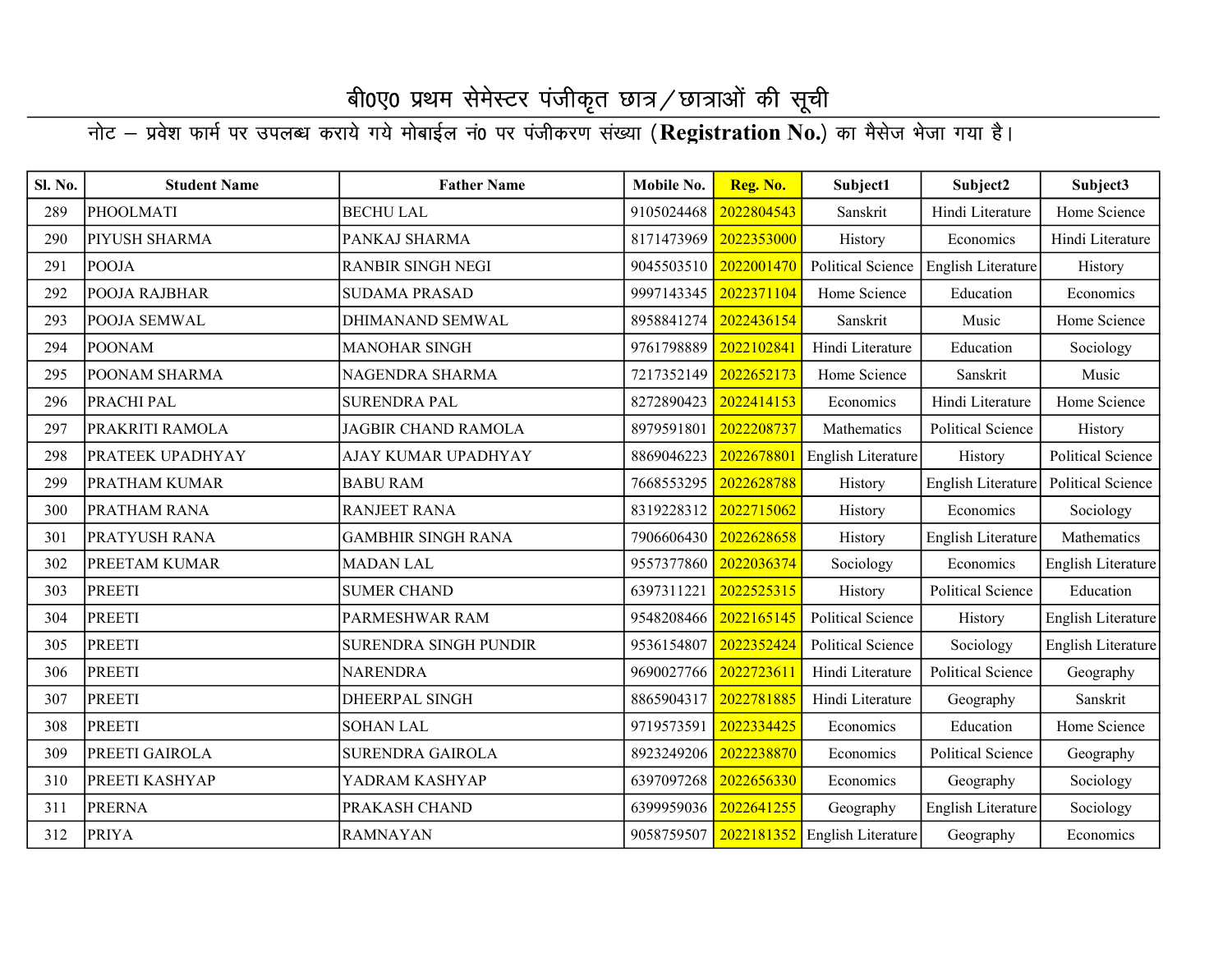| Sl. No. | <b>Student Name</b> | <b>Father Name</b>           | Mobile No. | Reg. No.   | Subject1                                 | Subject2                 | Subject3                 |
|---------|---------------------|------------------------------|------------|------------|------------------------------------------|--------------------------|--------------------------|
| 289     | <b>PHOOLMATI</b>    | <b>BECHULAL</b>              | 9105024468 | 2022804543 | Sanskrit                                 | Hindi Literature         | Home Science             |
| 290     | PIYUSH SHARMA       | PANKAJ SHARMA                | 8171473969 | 2022353000 | History                                  | Economics                | Hindi Literature         |
| 291     | <b>POOJA</b>        | <b>RANBIR SINGH NEGI</b>     | 9045503510 | 2022001470 | <b>Political Science</b>                 | English Literature       | History                  |
| 292     | POOJA RAJBHAR       | <b>SUDAMA PRASAD</b>         | 9997143345 | 2022371104 | Home Science                             | Education                | Economics                |
| 293     | POOJA SEMWAL        | DHIMANAND SEMWAL             | 8958841274 | 2022436154 | Sanskrit                                 | Music                    | Home Science             |
| 294     | <b>POONAM</b>       | <b>MANOHAR SINGH</b>         | 9761798889 | 2022102841 | Hindi Literature                         | Education                | Sociology                |
| 295     | POONAM SHARMA       | NAGENDRA SHARMA              | 7217352149 | 2022652173 | Home Science                             | Sanskrit                 | Music                    |
| 296     | PRACHI PAL          | <b>SURENDRA PAL</b>          | 8272890423 | 2022414153 | Economics                                | Hindi Literature         | Home Science             |
| 297     | PRAKRITI RAMOLA     | <b>JAGBIR CHAND RAMOLA</b>   | 8979591801 | 2022208737 | Mathematics                              | Political Science        | History                  |
| 298     | PRATEEK UPADHYAY    | AJAY KUMAR UPADHYAY          | 8869046223 | 2022678801 | English Literature                       | History                  | Political Science        |
| 299     | PRATHAM KUMAR       | <b>BABU RAM</b>              | 7668553295 | 2022628788 | History                                  | English Literature       | <b>Political Science</b> |
| 300     | PRATHAM RANA        | <b>RANJEET RANA</b>          | 8319228312 | 2022715062 | History                                  | Economics                | Sociology                |
| 301     | PRATYUSH RANA       | <b>GAMBHIR SINGH RANA</b>    | 7906606430 | 2022628658 | History                                  | English Literature       | Mathematics              |
| 302     | PREETAM KUMAR       | <b>MADAN LAL</b>             | 9557377860 | 2022036374 | Sociology                                | Economics                | English Literature       |
| 303     | <b>PREETI</b>       | <b>SUMER CHAND</b>           | 6397311221 | 2022525315 | History                                  | <b>Political Science</b> | Education                |
| 304     | <b>PREETI</b>       | PARMESHWAR RAM               | 9548208466 | 2022165145 | <b>Political Science</b>                 | History                  | English Literature       |
| 305     | <b>PREETI</b>       | <b>SURENDRA SINGH PUNDIR</b> | 9536154807 | 2022352424 | <b>Political Science</b>                 | Sociology                | English Literature       |
| 306     | <b>PREETI</b>       | <b>NARENDRA</b>              | 9690027766 | 2022723611 | Hindi Literature                         | Political Science        | Geography                |
| 307     | <b>PREETI</b>       | DHEERPAL SINGH               | 8865904317 | 2022781885 | Hindi Literature                         | Geography                | Sanskrit                 |
| 308     | <b>PREETI</b>       | <b>SOHAN LAL</b>             | 9719573591 | 2022334425 | Economics                                | Education                | Home Science             |
| 309     | PREETI GAIROLA      | <b>SURENDRA GAIROLA</b>      | 8923249206 | 2022238870 | Economics                                | Political Science        | Geography                |
| 310     | PREETI KASHYAP      | YADRAM KASHYAP               | 6397097268 | 2022656330 | Economics                                | Geography                | Sociology                |
| 311     | <b>PRERNA</b>       | PRAKASH CHAND                | 6399959036 | 2022641255 | Geography                                | English Literature       | Sociology                |
| 312     | <b>PRIYA</b>        | <b>RAMNAYAN</b>              |            |            | 9058759507 2022181352 English Literature | Geography                | Economics                |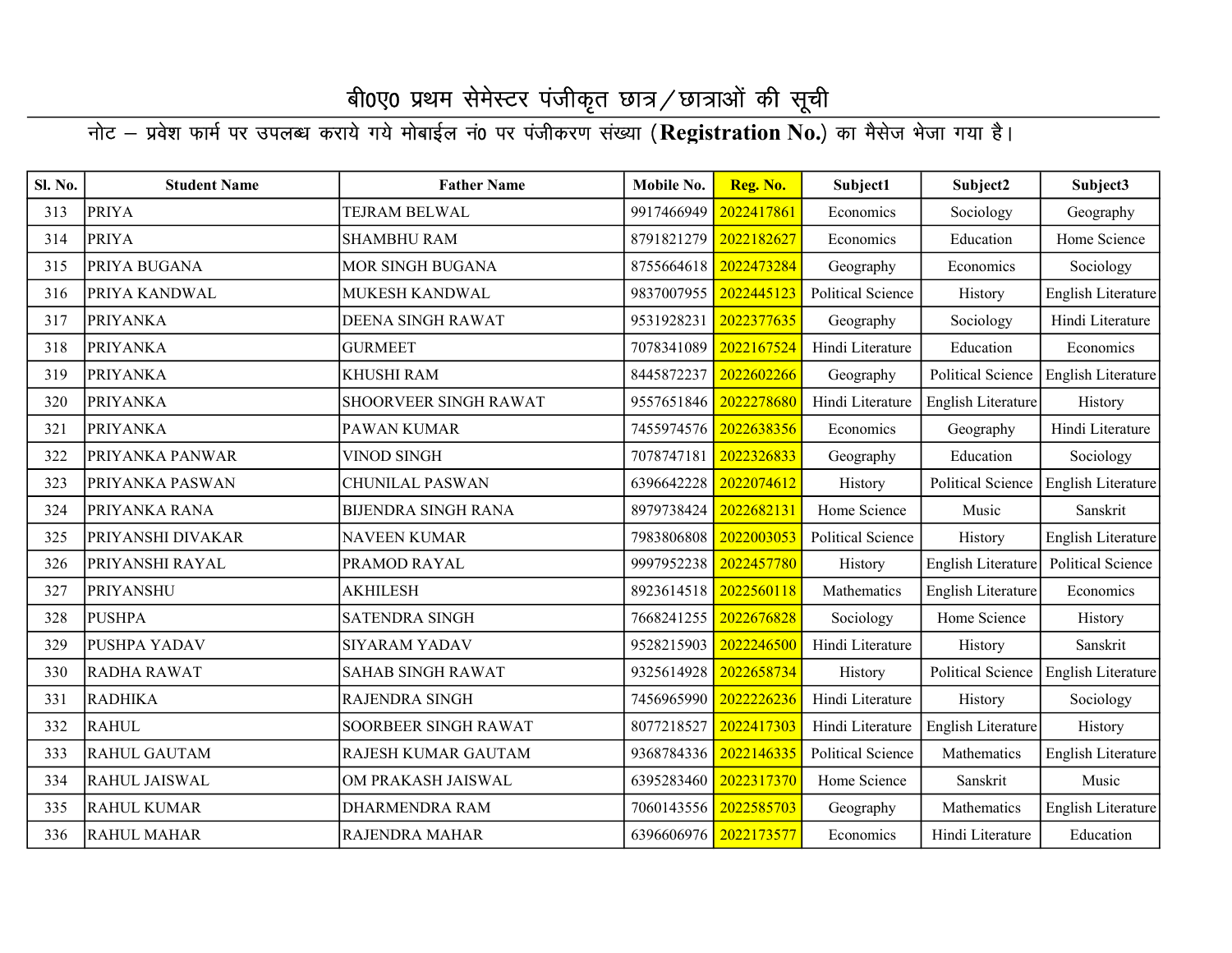| Sl. No. | <b>Student Name</b>  | <b>Father Name</b>         | Mobile No.            | Reg. No.   | Subject1                 | Subject2                 | Subject3           |
|---------|----------------------|----------------------------|-----------------------|------------|--------------------------|--------------------------|--------------------|
| 313     | <b>PRIYA</b>         | TEJRAM BELWAL              | 9917466949            | 2022417861 | Economics                | Sociology                | Geography          |
| 314     | <b>PRIYA</b>         | <b>SHAMBHU RAM</b>         | 8791821279            | 2022182627 | Economics                | Education                | Home Science       |
| 315     | PRIYA BUGANA         | MOR SINGH BUGANA           | 8755664618            | 2022473284 | Geography                | Economics                | Sociology          |
| 316     | PRIYA KANDWAL        | MUKESH KANDWAL             | 9837007955            | 2022445123 | Political Science        | History                  | English Literature |
| 317     | <b>PRIYANKA</b>      | DEENA SINGH RAWAT          | 9531928231            | 2022377635 | Geography                | Sociology                | Hindi Literature   |
| 318     | <b>PRIYANKA</b>      | <b>GURMEET</b>             | 7078341089            | 2022167524 | Hindi Literature         | Education                | Economics          |
| 319     | <b>PRIYANKA</b>      | KHUSHI RAM                 | 8445872237            | 2022602266 | Geography                | <b>Political Science</b> | English Literature |
| 320     | <b>PRIYANKA</b>      | SHOORVEER SINGH RAWAT      | 9557651846            | 2022278680 | Hindi Literature         | English Literature       | History            |
| 321     | <b>PRIYANKA</b>      | PAWAN KUMAR                | 7455974576            | 2022638356 | Economics                | Geography                | Hindi Literature   |
| 322     | PRIYANKA PANWAR      | <b>VINOD SINGH</b>         | 7078747181            | 2022326833 | Geography                | Education                | Sociology          |
| 323     | PRIYANKA PASWAN      | <b>CHUNILAL PASWAN</b>     | 6396642228            | 2022074612 | History                  | Political Science        | English Literature |
| 324     | PRIYANKA RANA        | <b>BIJENDRA SINGH RANA</b> | 8979738424            | 2022682131 | Home Science             | Music                    | Sanskrit           |
| 325     | PRIYANSHI DIVAKAR    | NAVEEN KUMAR               | 7983806808            | 2022003053 | Political Science        | History                  | English Literature |
| 326     | PRIYANSHI RAYAL      | PRAMOD RAYAL               | 9997952238            | 2022457780 | History                  | English Literature       | Political Science  |
| 327     | <b>PRIYANSHU</b>     | <b>AKHILESH</b>            | 8923614518            | 2022560118 | Mathematics              | English Literature       | Economics          |
| 328     | <b>PUSHPA</b>        | <b>SATENDRA SINGH</b>      | 7668241255            | 2022676828 | Sociology                | Home Science             | History            |
| 329     | <b>PUSHPA YADAV</b>  | <b>SIYARAM YADAV</b>       | 9528215903            | 2022246500 | Hindi Literature         | History                  | Sanskrit           |
| 330     | <b>RADHA RAWAT</b>   | <b>SAHAB SINGH RAWAT</b>   | 9325614928            | 2022658734 | History                  | <b>Political Science</b> | English Literature |
| 331     | <b>RADHIKA</b>       | <b>RAJENDRA SINGH</b>      | 7456965990            | 2022226236 | Hindi Literature         | History                  | Sociology          |
| 332     | <b>RAHUL</b>         | SOORBEER SINGH RAWAT       | 8077218527            | 2022417303 | Hindi Literature         | English Literature       | History            |
| 333     | <b>RAHUL GAUTAM</b>  | RAJESH KUMAR GAUTAM        | 9368784336            | 2022146335 | <b>Political Science</b> | Mathematics              | English Literature |
| 334     | <b>RAHUL JAISWAL</b> | OM PRAKASH JAISWAL         | 6395283460            | 2022317370 | Home Science             | Sanskrit                 | Music              |
| 335     | <b>RAHUL KUMAR</b>   | <b>DHARMENDRA RAM</b>      | 7060143556            | 2022585703 | Geography                | Mathematics              | English Literature |
| 336     | <b>RAHUL MAHAR</b>   | <b>RAJENDRA MAHAR</b>      | 6396606976 2022173577 |            | Economics                | Hindi Literature         | Education          |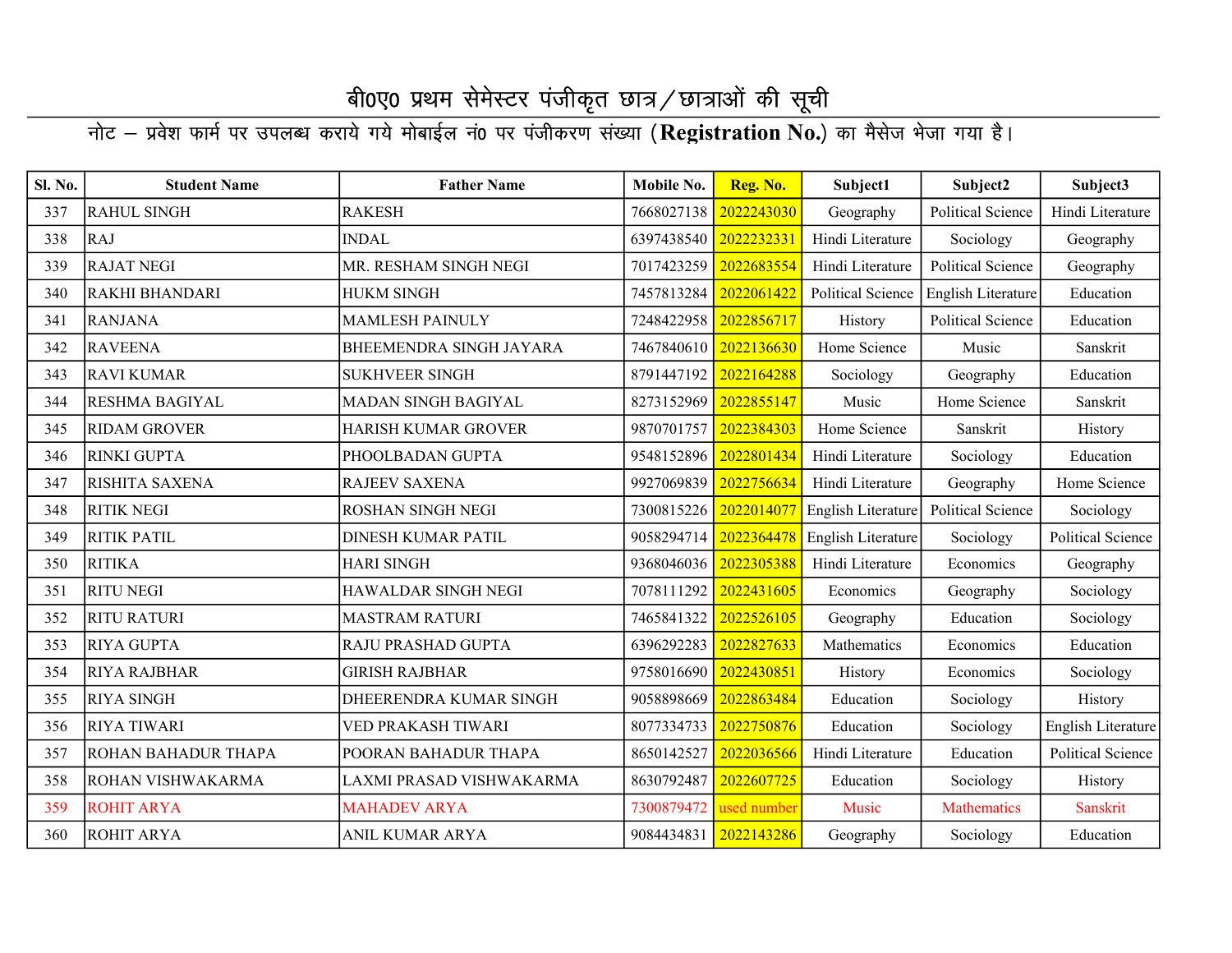| Sl. No. | <b>Student Name</b>   | <b>Father Name</b>         | Mobile No. | Reg. No.    | Subject1           | Subject2                 | Subject3                 |
|---------|-----------------------|----------------------------|------------|-------------|--------------------|--------------------------|--------------------------|
| 337     | <b>RAHUL SINGH</b>    | <b>RAKESH</b>              | 7668027138 | 2022243030  | Geography          | <b>Political Science</b> | Hindi Literature         |
| 338     | <b>RAJ</b>            | <b>INDAL</b>               | 6397438540 | 2022232331  | Hindi Literature   | Sociology                | Geography                |
| 339     | <b>RAJAT NEGI</b>     | MR. RESHAM SINGH NEGI      | 7017423259 | 2022683554  | Hindi Literature   | <b>Political Science</b> | Geography                |
| 340     | <b>RAKHI BHANDARI</b> | <b>HUKM SINGH</b>          | 7457813284 | 2022061422  | Political Science  | English Literature       | Education                |
| 341     | <b>RANJANA</b>        | <b>MAMLESH PAINULY</b>     | 7248422958 | 2022856717  | History            | <b>Political Science</b> | Education                |
| 342     | <b>RAVEENA</b>        | BHEEMENDRA SINGH JAYARA    | 7467840610 | 2022136630  | Home Science       | Music                    | Sanskrit                 |
| 343     | <b>RAVI KUMAR</b>     | <b>SUKHVEER SINGH</b>      | 8791447192 | 2022164288  | Sociology          | Geography                | Education                |
| 344     | <b>RESHMA BAGIYAL</b> | MADAN SINGH BAGIYAL        | 8273152969 | 2022855147  | Music              | Home Science             | Sanskrit                 |
| 345     | <b>RIDAM GROVER</b>   | <b>HARISH KUMAR GROVER</b> | 9870701757 | 2022384303  | Home Science       | Sanskrit                 | History                  |
| 346     | <b>RINKI GUPTA</b>    | PHOOLBADAN GUPTA           | 9548152896 | 2022801434  | Hindi Literature   | Sociology                | Education                |
| 347     | <b>RISHITA SAXENA</b> | <b>RAJEEV SAXENA</b>       | 9927069839 | 2022756634  | Hindi Literature   | Geography                | Home Science             |
| 348     | <b>RITIK NEGI</b>     | ROSHAN SINGH NEGI          | 7300815226 | 2022014077  | English Literature | <b>Political Science</b> | Sociology                |
| 349     | <b>RITIK PATIL</b>    | <b>DINESH KUMAR PATIL</b>  | 9058294714 | 2022364478  | English Literature | Sociology                | Political Science        |
| 350     | <b>RITIKA</b>         | HARI SINGH                 | 9368046036 | 2022305388  | Hindi Literature   | Economics                | Geography                |
| 351     | <b>RITU NEGI</b>      | HAWALDAR SINGH NEGI        | 7078111292 | 2022431605  | Economics          | Geography                | Sociology                |
| 352     | <b>RITU RATURI</b>    | <b>MASTRAM RATURI</b>      | 7465841322 | 2022526105  | Geography          | Education                | Sociology                |
| 353     | <b>RIYA GUPTA</b>     | RAJU PRASHAD GUPTA         | 6396292283 | 2022827633  | Mathematics        | Economics                | Education                |
| 354     | <b>RIYA RAJBHAR</b>   | <b>GIRISH RAJBHAR</b>      | 9758016690 | 2022430851  | History            | Economics                | Sociology                |
| 355     | <b>RIYA SINGH</b>     | DHEERENDRA KUMAR SINGH     | 9058898669 | 2022863484  | Education          | Sociology                | History                  |
| 356     | <b>RIYA TIWARI</b>    | VED PRAKASH TIWARI         | 8077334733 | 2022750876  | Education          | Sociology                | English Literature       |
| 357     | ROHAN BAHADUR THAPA   | POORAN BAHADUR THAPA       | 8650142527 | 2022036566  | Hindi Literature   | Education                | <b>Political Science</b> |
| 358     | ROHAN VISHWAKARMA     | LAXMI PRASAD VISHWAKARMA   | 8630792487 | 2022607725  | Education          | Sociology                | History                  |
| 359     | <b>ROHIT ARYA</b>     | <b>MAHADEV ARYA</b>        | 7300879472 | used number | Music              | <b>Mathematics</b>       | Sanskrit                 |
| 360     | <b>ROHIT ARYA</b>     | ANIL KUMAR ARYA            | 9084434831 | 2022143286  | Geography          | Sociology                | Education                |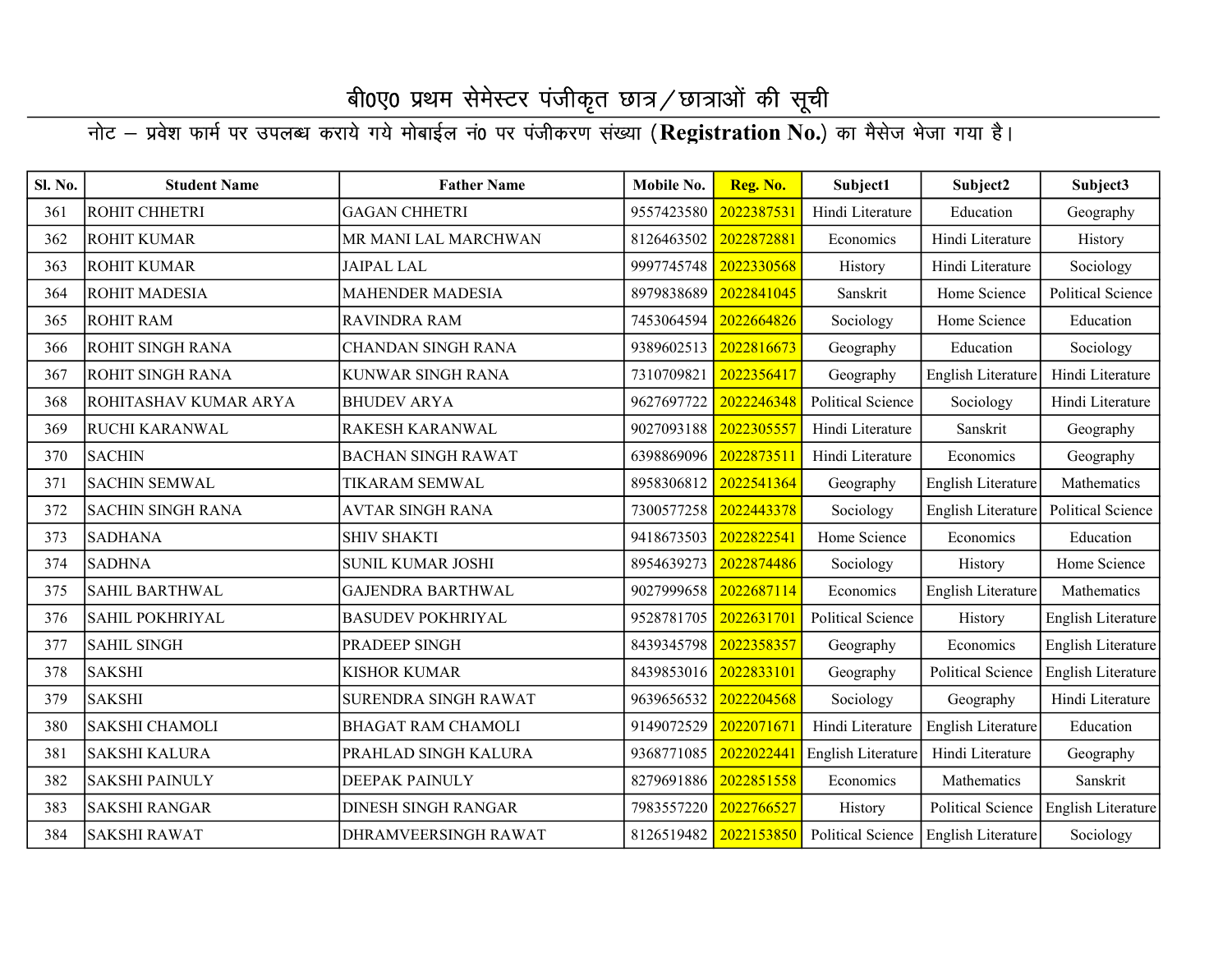| Sl. No. | <b>Student Name</b>      | <b>Father Name</b>         | Mobile No. | Reg. No.   | Subject1           | Subject2                 | Subject3                  |
|---------|--------------------------|----------------------------|------------|------------|--------------------|--------------------------|---------------------------|
| 361     | ROHIT CHHETRI            | <b>GAGAN CHHETRI</b>       | 9557423580 | 2022387531 | Hindi Literature   | Education                | Geography                 |
| 362     | <b>ROHIT KUMAR</b>       | MR MANI LAL MARCHWAN       | 8126463502 | 2022872881 | Economics          | Hindi Literature         | History                   |
| 363     | <b>ROHIT KUMAR</b>       | JAIPAL LAL                 | 9997745748 | 2022330568 | History            | Hindi Literature         | Sociology                 |
| 364     | ROHIT MADESIA            | <b>MAHENDER MADESIA</b>    | 8979838689 | 2022841045 | Sanskrit           | Home Science             | Political Science         |
| 365     | <b>ROHIT RAM</b>         | <b>RAVINDRA RAM</b>        | 7453064594 | 2022664826 | Sociology          | Home Science             | Education                 |
| 366     | ROHIT SINGH RANA         | CHANDAN SINGH RANA         | 9389602513 | 2022816673 | Geography          | Education                | Sociology                 |
| 367     | ROHIT SINGH RANA         | <b>KUNWAR SINGH RANA</b>   | 7310709821 | 2022356417 | Geography          | English Literature       | Hindi Literature          |
| 368     | ROHITASHAV KUMAR ARYA    | <b>BHUDEV ARYA</b>         | 9627697722 | 2022246348 | Political Science  | Sociology                | Hindi Literature          |
| 369     | RUCHI KARANWAL           | RAKESH KARANWAL            | 9027093188 | 2022305557 | Hindi Literature   | Sanskrit                 | Geography                 |
| 370     | <b>SACHIN</b>            | <b>BACHAN SINGH RAWAT</b>  | 6398869096 | 2022873511 | Hindi Literature   | Economics                | Geography                 |
| 371     | <b>SACHIN SEMWAL</b>     | <b>TIKARAM SEMWAL</b>      | 8958306812 | 2022541364 | Geography          | English Literature       | Mathematics               |
| 372     | <b>SACHIN SINGH RANA</b> | <b>AVTAR SINGH RANA</b>    | 7300577258 | 2022443378 | Sociology          | English Literature       | Political Science         |
| 373     | <b>SADHANA</b>           | <b>SHIV SHAKTI</b>         | 9418673503 | 2022822541 | Home Science       | Economics                | Education                 |
| 374     | <b>SADHNA</b>            | <b>SUNIL KUMAR JOSHI</b>   | 8954639273 | 2022874486 | Sociology          | History                  | Home Science              |
| 375     | <b>SAHIL BARTHWAL</b>    | <b>GAJENDRA BARTHWAL</b>   | 9027999658 | 2022687114 | Economics          | English Literature       | Mathematics               |
| 376     | <b>SAHIL POKHRIYAL</b>   | <b>BASUDEV POKHRIYAL</b>   | 9528781705 | 2022631701 | Political Science  | History                  | <b>English Literature</b> |
| 377     | <b>SAHIL SINGH</b>       | PRADEEP SINGH              | 8439345798 | 2022358357 | Geography          | Economics                | <b>English Literature</b> |
| 378     | <b>SAKSHI</b>            | <b>KISHOR KUMAR</b>        | 8439853016 | 2022833101 | Geography          | <b>Political Science</b> | English Literature        |
| 379     | <b>SAKSHI</b>            | SURENDRA SINGH RAWAT       | 9639656532 | 2022204568 | Sociology          | Geography                | Hindi Literature          |
| 380     | <b>SAKSHI CHAMOLI</b>    | <b>BHAGAT RAM CHAMOLI</b>  | 9149072529 | 2022071671 | Hindi Literature   | English Literature       | Education                 |
| 381     | <b>SAKSHI KALURA</b>     | PRAHLAD SINGH KALURA       | 9368771085 | 2022022441 | English Literature | Hindi Literature         | Geography                 |
| 382     | <b>SAKSHI PAINULY</b>    | <b>DEEPAK PAINULY</b>      | 8279691886 | 2022851558 | Economics          | Mathematics              | Sanskrit                  |
| 383     | <b>SAKSHI RANGAR</b>     | <b>DINESH SINGH RANGAR</b> | 7983557220 | 2022766527 | History            | <b>Political Science</b> | English Literature        |
| 384     | <b>SAKSHI RAWAT</b>      | DHRAMVEERSINGH RAWAT       | 8126519482 | 2022153850 | Political Science  | English Literature       | Sociology                 |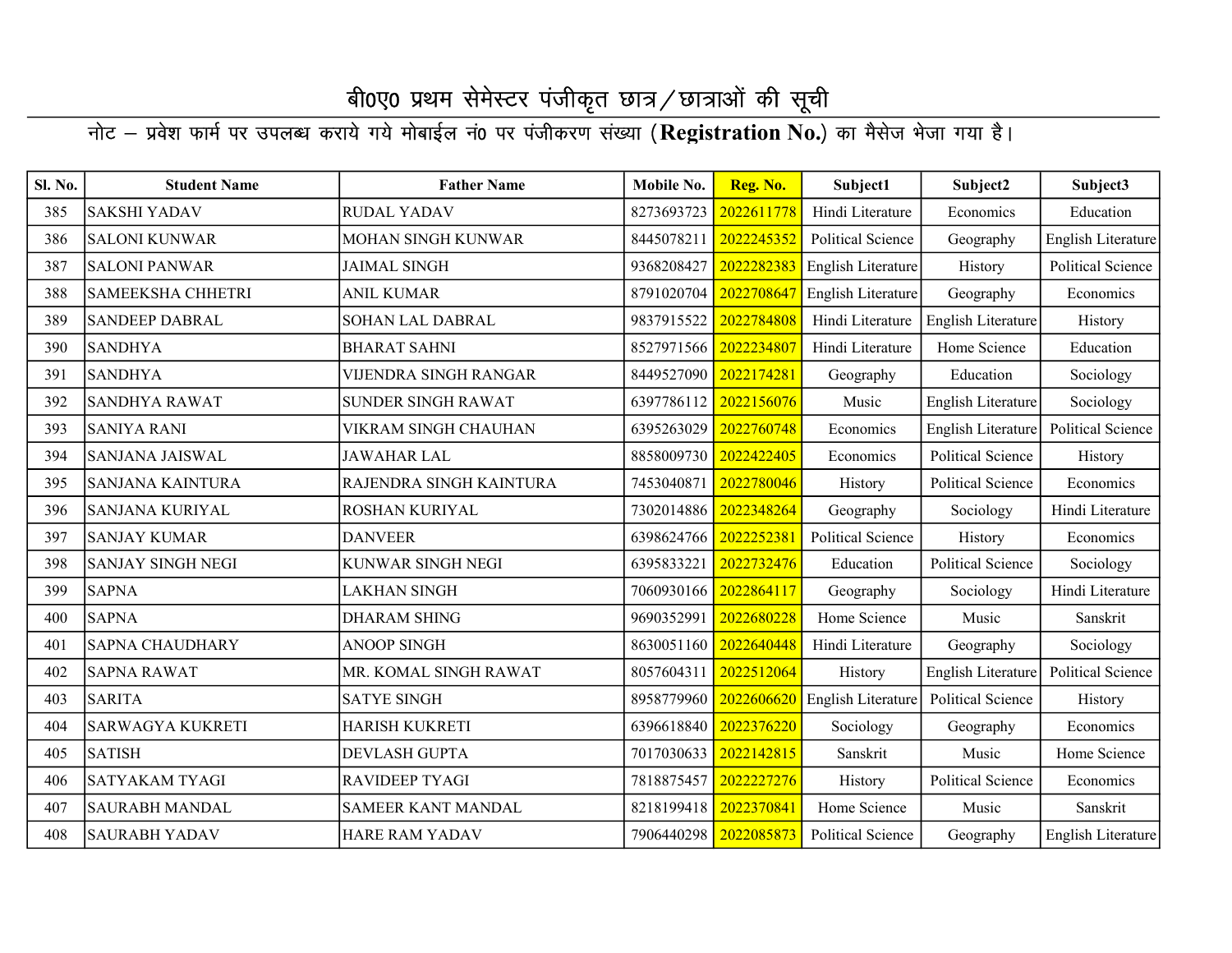| Sl. No. | <b>Student Name</b>      | <b>Father Name</b>        | Mobile No. | Reg. No.   | Subject1                 | Subject2                 | Subject3                 |
|---------|--------------------------|---------------------------|------------|------------|--------------------------|--------------------------|--------------------------|
| 385     | <b>SAKSHI YADAV</b>      | <b>RUDAL YADAV</b>        | 8273693723 | 2022611778 | Hindi Literature         | Economics                | Education                |
| 386     | <b>SALONI KUNWAR</b>     | <b>MOHAN SINGH KUNWAR</b> | 8445078211 | 2022245352 | <b>Political Science</b> | Geography                | English Literature       |
| 387     | <b>SALONI PANWAR</b>     | <b>JAIMAL SINGH</b>       | 9368208427 | 2022282383 | English Literature       | History                  | <b>Political Science</b> |
| 388     | <b>SAMEEKSHA CHHETRI</b> | <b>ANIL KUMAR</b>         | 8791020704 | 2022708647 | English Literature       | Geography                | Economics                |
| 389     | <b>SANDEEP DABRAL</b>    | SOHAN LAL DABRAL          | 9837915522 | 2022784808 | Hindi Literature         | English Literature       | History                  |
| 390     | <b>SANDHYA</b>           | <b>BHARAT SAHNI</b>       | 8527971566 | 2022234807 | Hindi Literature         | Home Science             | Education                |
| 391     | <b>SANDHYA</b>           | VIJENDRA SINGH RANGAR     | 8449527090 | 2022174281 | Geography                | Education                | Sociology                |
| 392     | <b>SANDHYA RAWAT</b>     | <b>SUNDER SINGH RAWAT</b> | 6397786112 | 2022156076 | Music                    | English Literature       | Sociology                |
| 393     | <b>SANIYA RANI</b>       | VIKRAM SINGH CHAUHAN      | 6395263029 | 2022760748 | Economics                | English Literature       | Political Science        |
| 394     | <b>SANJANA JAISWAL</b>   | JAWAHAR LAL               | 8858009730 | 2022422405 | Economics                | <b>Political Science</b> | History                  |
| 395     | <b>SANJANA KAINTURA</b>  | RAJENDRA SINGH KAINTURA   | 7453040871 | 2022780046 | History                  | Political Science        | Economics                |
| 396     | <b>SANJANA KURIYAL</b>   | ROSHAN KURIYAL            | 7302014886 | 2022348264 | Geography                | Sociology                | Hindi Literature         |
| 397     | <b>SANJAY KUMAR</b>      | <b>DANVEER</b>            | 6398624766 | 2022252381 | <b>Political Science</b> | History                  | Economics                |
| 398     | <b>SANJAY SINGH NEGI</b> | KUNWAR SINGH NEGI         | 6395833221 | 2022732476 | Education                | <b>Political Science</b> | Sociology                |
| 399     | <b>SAPNA</b>             | LAKHAN SINGH              | 7060930166 | 2022864117 | Geography                | Sociology                | Hindi Literature         |
| 400     | <b>SAPNA</b>             | <b>DHARAM SHING</b>       | 9690352991 | 2022680228 | Home Science             | Music                    | Sanskrit                 |
| 401     | <b>SAPNA CHAUDHARY</b>   | <b>ANOOP SINGH</b>        | 8630051160 | 2022640448 | Hindi Literature         | Geography                | Sociology                |
| 402     | <b>SAPNA RAWAT</b>       | MR. KOMAL SINGH RAWAT     | 8057604311 | 2022512064 | History                  | English Literature       | Political Science        |
| 403     | <b>SARITA</b>            | <b>SATYE SINGH</b>        | 8958779960 | 2022606620 | English Literature       | <b>Political Science</b> | History                  |
| 404     | <b>SARWAGYA KUKRETI</b>  | <b>HARISH KUKRETI</b>     | 6396618840 | 2022376220 | Sociology                | Geography                | Economics                |
| 405     | <b>SATISH</b>            | <b>DEVLASH GUPTA</b>      | 7017030633 | 2022142815 | Sanskrit                 | Music                    | Home Science             |
| 406     | <b>SATYAKAM TYAGI</b>    | <b>RAVIDEEP TYAGI</b>     | 7818875457 | 2022227276 | History                  | <b>Political Science</b> | Economics                |
| 407     | <b>SAURABH MANDAL</b>    | <b>SAMEER KANT MANDAL</b> | 8218199418 | 2022370841 | Home Science             | Music                    | Sanskrit                 |
| 408     | <b>SAURABH YADAV</b>     | <b>HARE RAM YADAV</b>     | 7906440298 | 2022085873 | <b>Political Science</b> | Geography                | English Literature       |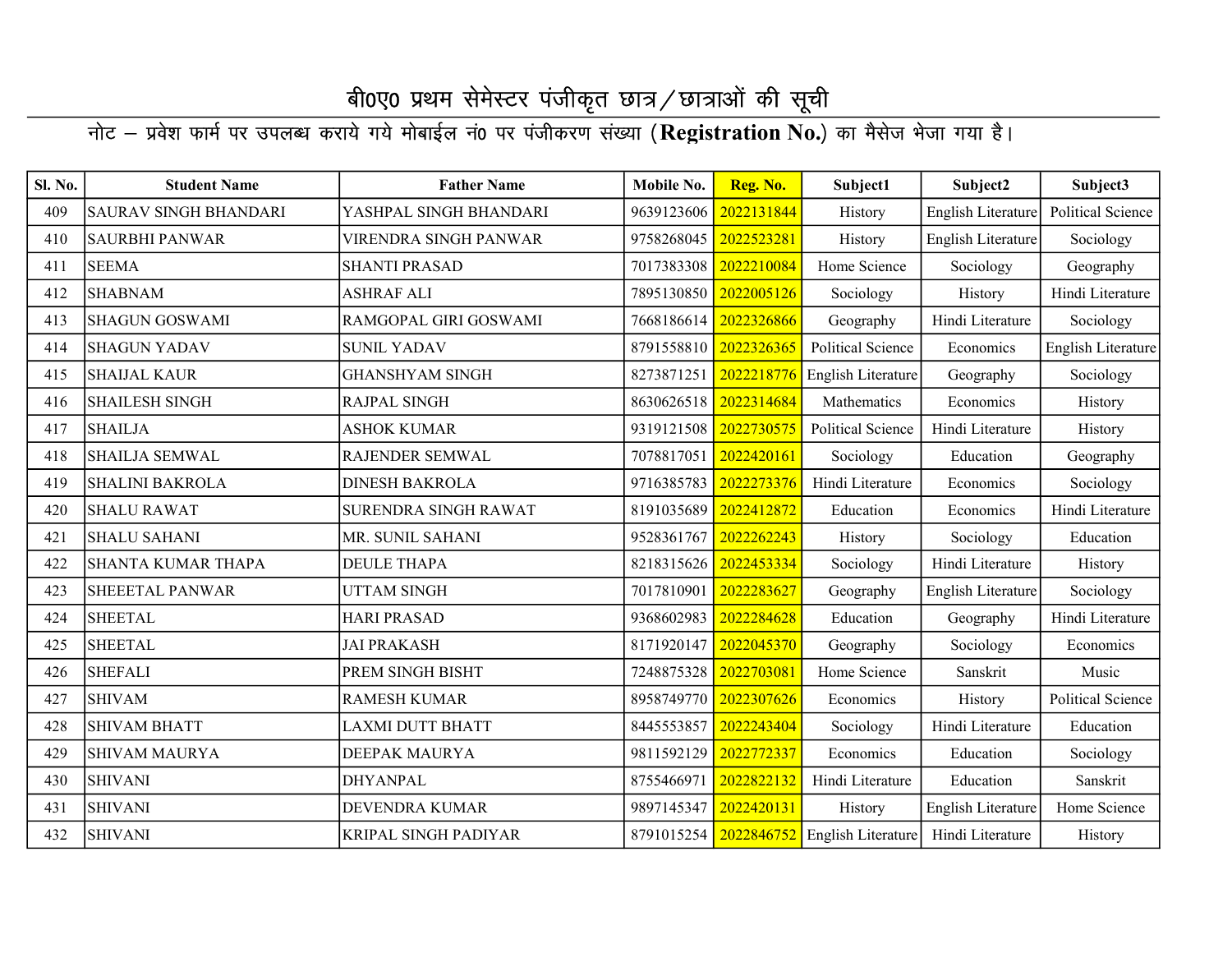#### नोट – प्रवेश फार्म पर उपलब्ध कराये गये मोबाईल नं0 पर पंजीकरण संख्या (Registration No.) का मैसेज भेजा गया है।

| Sl. No. | <b>Student Name</b>          | <b>Father Name</b>      | Mobile No.            | Reg. No.   | Subject1                                 | Subject2           | Subject3                 |
|---------|------------------------------|-------------------------|-----------------------|------------|------------------------------------------|--------------------|--------------------------|
| 409     | <b>SAURAV SINGH BHANDARI</b> | YASHPAL SINGH BHANDARI  | 9639123606            | 2022131844 | History                                  | English Literature | <b>Political Science</b> |
| 410     | <b>SAURBHI PANWAR</b>        | VIRENDRA SINGH PANWAR   | 9758268045            | 2022523281 | History                                  | English Literature | Sociology                |
| 411     | <b>SEEMA</b>                 | <b>SHANTI PRASAD</b>    | 7017383308            | 2022210084 | Home Science                             | Sociology          | Geography                |
| 412     | <b>SHABNAM</b>               | ASHRAF ALI              | 7895130850            | 2022005126 | Sociology                                | History            | Hindi Literature         |
| 413     | <b>SHAGUN GOSWAMI</b>        | RAMGOPAL GIRI GOSWAMI   | 7668186614            | 2022326866 | Geography                                | Hindi Literature   | Sociology                |
| 414     | <b>SHAGUN YADAV</b>          | <b>SUNIL YADAV</b>      | 8791558810 2022326365 |            | Political Science                        | Economics          | English Literature       |
| 415     | <b>SHAIJAL KAUR</b>          | <b>GHANSHYAM SINGH</b>  | 8273871251            | 2022218776 | <b>English Literature</b>                | Geography          | Sociology                |
| 416     | <b>SHAILESH SINGH</b>        | RAJPAL SINGH            | 8630626518 2022314684 |            | Mathematics                              | Economics          | History                  |
| 417     | <b>SHAILJA</b>               | <b>ASHOK KUMAR</b>      | 9319121508            | 2022730575 | <b>Political Science</b>                 | Hindi Literature   | History                  |
| 418     | <b>SHAILJA SEMWAL</b>        | RAJENDER SEMWAL         | 7078817051            | 2022420161 | Sociology                                | Education          | Geography                |
| 419     | <b>SHALINI BAKROLA</b>       | <b>DINESH BAKROLA</b>   | 9716385783            | 2022273376 | Hindi Literature                         | Economics          | Sociology                |
| 420     | <b>SHALU RAWAT</b>           | SURENDRA SINGH RAWAT    | 8191035689            | 2022412872 | Education                                | Economics          | Hindi Literature         |
| 421     | <b>SHALU SAHANI</b>          | MR. SUNIL SAHANI        | 9528361767            | 2022262243 | History                                  | Sociology          | Education                |
| 422     | <b>SHANTA KUMAR THAPA</b>    | <b>DEULE THAPA</b>      | 8218315626            | 2022453334 | Sociology                                | Hindi Literature   | History                  |
| 423     | <b>SHEEETAL PANWAR</b>       | UTTAM SINGH             | 7017810901            | 2022283627 | Geography                                | English Literature | Sociology                |
| 424     | <b>SHEETAL</b>               | <b>HARI PRASAD</b>      | 9368602983            | 2022284628 | Education                                | Geography          | Hindi Literature         |
| 425     | <b>SHEETAL</b>               | <b>JAI PRAKASH</b>      | 8171920147            | 2022045370 | Geography                                | Sociology          | Economics                |
| 426     | <b>SHEFALI</b>               | PREM SINGH BISHT        | 7248875328            | 2022703081 | Home Science                             | Sanskrit           | Music                    |
| 427     | <b>SHIVAM</b>                | <b>RAMESH KUMAR</b>     | 8958749770            | 2022307626 | Economics                                | History            | <b>Political Science</b> |
| 428     | <b>SHIVAM BHATT</b>          | <b>LAXMI DUTT BHATT</b> | 8445553857            | 2022243404 | Sociology                                | Hindi Literature   | Education                |
| 429     | <b>SHIVAM MAURYA</b>         | <b>DEEPAK MAURYA</b>    | 9811592129            | 2022772337 | Economics                                | Education          | Sociology                |
| 430     | <b>SHIVANI</b>               | <b>DHYANPAL</b>         | 8755466971            | 2022822132 | Hindi Literature                         | Education          | Sanskrit                 |
| 431     | <b>SHIVANI</b>               | <b>DEVENDRA KUMAR</b>   | 9897145347            | 2022420131 | History                                  | English Literature | Home Science             |
| 432     | <b>SHIVANI</b>               | KRIPAL SINGH PADIYAR    |                       |            | 8791015254 2022846752 English Literature | Hindi Literature   | History                  |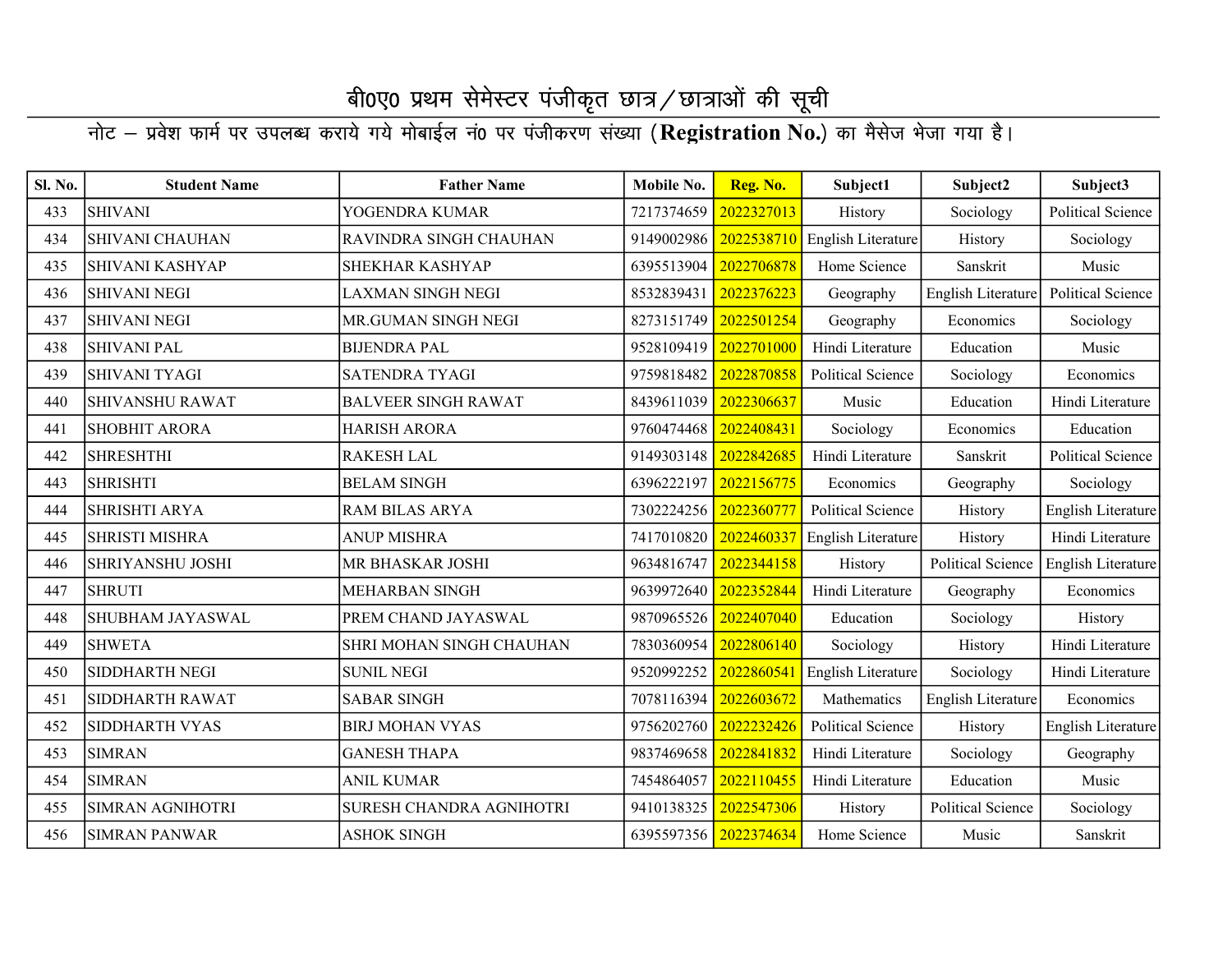| Sl. No. | <b>Student Name</b>     | <b>Father Name</b>         | Mobile No.            | Reg. No.   | Subject1                 | Subject2                 | Subject3                  |
|---------|-------------------------|----------------------------|-----------------------|------------|--------------------------|--------------------------|---------------------------|
| 433     | <b>SHIVANI</b>          | YOGENDRA KUMAR             | 7217374659            | 2022327013 | History                  | Sociology                | <b>Political Science</b>  |
| 434     | <b>SHIVANI CHAUHAN</b>  | RAVINDRA SINGH CHAUHAN     | 9149002986            | 2022538710 | English Literature       | History                  | Sociology                 |
| 435     | <b>SHIVANI KASHYAP</b>  | SHEKHAR KASHYAP            | 6395513904            | 2022706878 | Home Science             | Sanskrit                 | Music                     |
| 436     | <b>SHIVANI NEGI</b>     | LAXMAN SINGH NEGI          | 8532839431            | 2022376223 | Geography                | English Literature       | Political Science         |
| 437     | <b>SHIVANI NEGI</b>     | MR.GUMAN SINGH NEGI        | 8273151749            | 2022501254 | Geography                | Economics                | Sociology                 |
| 438     | <b>SHIVANI PAL</b>      | <b>BIJENDRA PAL</b>        | 9528109419            | 2022701000 | Hindi Literature         | Education                | Music                     |
| 439     | <b>SHIVANI TYAGI</b>    | <b>SATENDRA TYAGI</b>      | 9759818482            | 2022870858 | <b>Political Science</b> | Sociology                | Economics                 |
| 440     | <b>SHIVANSHU RAWAT</b>  | <b>BALVEER SINGH RAWAT</b> | 8439611039            | 2022306637 | Music                    | Education                | Hindi Literature          |
| 441     | <b>SHOBHIT ARORA</b>    | <b>HARISH ARORA</b>        | 9760474468            | 2022408431 | Sociology                | Economics                | Education                 |
| 442     | <b>SHRESHTHI</b>        | <b>RAKESH LAL</b>          | 9149303148            | 2022842685 | Hindi Literature         | Sanskrit                 | Political Science         |
| 443     | <b>SHRISHTI</b>         | <b>BELAM SINGH</b>         | 6396222197            | 2022156775 | Economics                | Geography                | Sociology                 |
| 444     | <b>SHRISHTI ARYA</b>    | RAM BILAS ARYA             | 7302224256            | 2022360777 | <b>Political Science</b> | History                  | <b>English Literature</b> |
| 445     | <b>SHRISTI MISHRA</b>   | <b>ANUP MISHRA</b>         | 7417010820            | 2022460337 | English Literature       | History                  | Hindi Literature          |
| 446     | <b>SHRIYANSHU JOSHI</b> | MR BHASKAR JOSHI           | 9634816747            | 2022344158 | History                  | <b>Political Science</b> | English Literature        |
| 447     | <b>SHRUTI</b>           | <b>MEHARBAN SINGH</b>      | 9639972640            | 2022352844 | Hindi Literature         | Geography                | Economics                 |
| 448     | SHUBHAM JAYASWAL        | PREM CHAND JAYASWAL        | 9870965526            | 2022407040 | Education                | Sociology                | History                   |
| 449     | <b>SHWETA</b>           | SHRI MOHAN SINGH CHAUHAN   | 7830360954            | 2022806140 | Sociology                | History                  | Hindi Literature          |
| 450     | <b>SIDDHARTH NEGI</b>   | <b>SUNIL NEGI</b>          | 9520992252            | 2022860541 | English Literature       | Sociology                | Hindi Literature          |
| 451     | SIDDHARTH RAWAT         | <b>SABAR SINGH</b>         | 7078116394            | 2022603672 | Mathematics              | English Literature       | Economics                 |
| 452     | <b>SIDDHARTH VYAS</b>   | <b>BIRJ MOHAN VYAS</b>     | 9756202760            | 2022232426 | <b>Political Science</b> | History                  | English Literature        |
| 453     | <b>SIMRAN</b>           | <b>GANESH THAPA</b>        | 9837469658            | 2022841832 | Hindi Literature         | Sociology                | Geography                 |
| 454     | <b>SIMRAN</b>           | ANIL KUMAR                 | 7454864057            | 2022110455 | Hindi Literature         | Education                | Music                     |
| 455     | <b>SIMRAN AGNIHOTRI</b> | SURESH CHANDRA AGNIHOTRI   | 9410138325            | 2022547306 | History                  | <b>Political Science</b> | Sociology                 |
| 456     | <b>SIMRAN PANWAR</b>    | <b>ASHOK SINGH</b>         | 6395597356 2022374634 |            | Home Science             | Music                    | Sanskrit                  |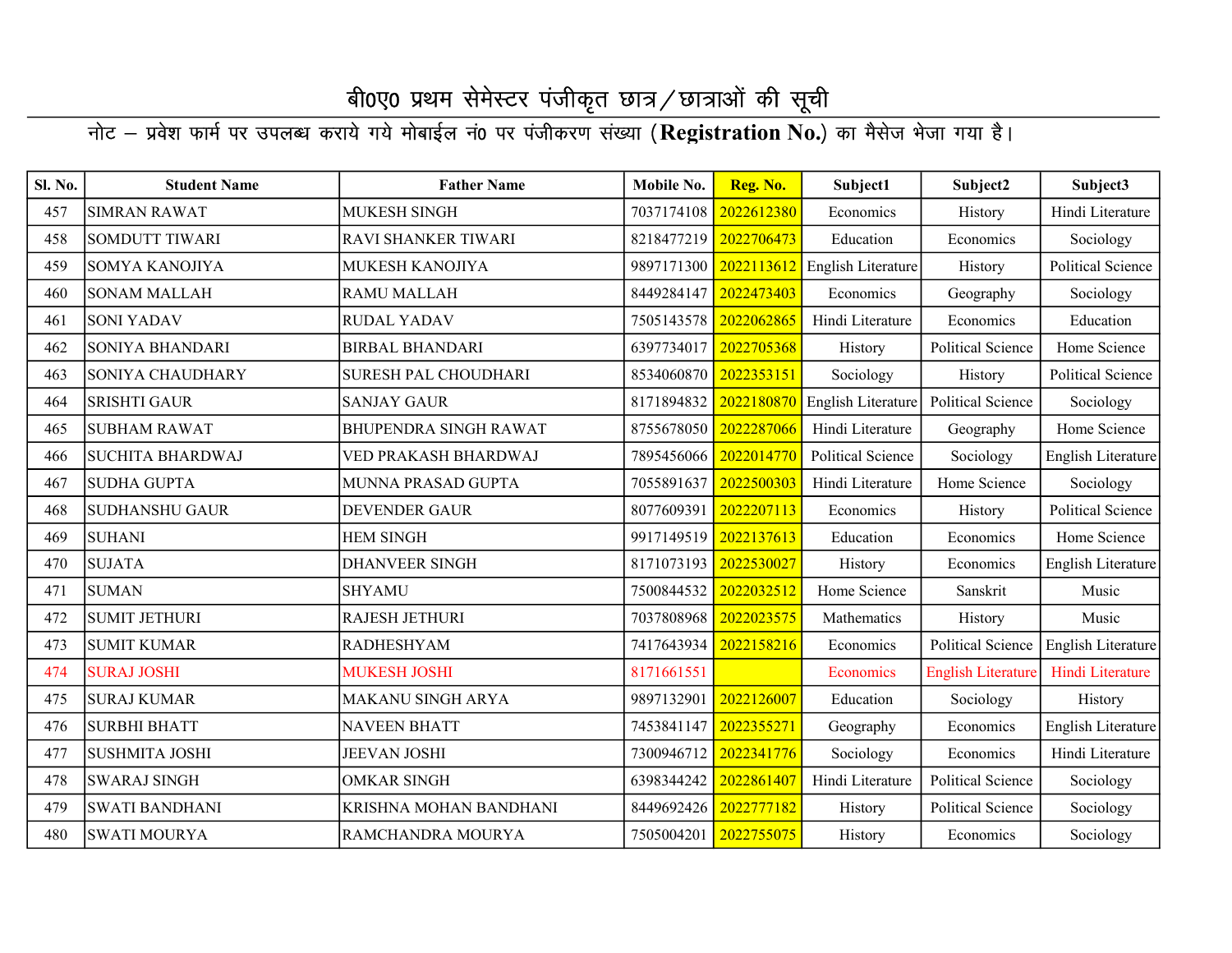| Sl. No. | <b>Student Name</b>     | <b>Father Name</b>           | Mobile No. | Reg. No.   | Subject1           | Subject2                  | Subject3                  |
|---------|-------------------------|------------------------------|------------|------------|--------------------|---------------------------|---------------------------|
| 457     | <b>SIMRAN RAWAT</b>     | <b>MUKESH SINGH</b>          | 7037174108 | 2022612380 | Economics          | History                   | Hindi Literature          |
| 458     | <b>SOMDUTT TIWARI</b>   | <b>RAVI SHANKER TIWARI</b>   | 8218477219 | 2022706473 | Education          | Economics                 | Sociology                 |
| 459     | SOMYA KANOJIYA          | MUKESH KANOJIYA              | 9897171300 | 2022113612 | English Literature | History                   | Political Science         |
| 460     | <b>SONAM MALLAH</b>     | <b>RAMU MALLAH</b>           | 8449284147 | 2022473403 | Economics          | Geography                 | Sociology                 |
| 461     | <b>SONI YADAV</b>       | <b>RUDAL YADAV</b>           | 7505143578 | 2022062865 | Hindi Literature   | Economics                 | Education                 |
| 462     | <b>SONIYA BHANDARI</b>  | <b>BIRBAL BHANDARI</b>       | 6397734017 | 2022705368 | History            | Political Science         | Home Science              |
| 463     | SONIYA CHAUDHARY        | <b>SURESH PAL CHOUDHARI</b>  | 8534060870 | 2022353151 | Sociology          | History                   | <b>Political Science</b>  |
| 464     | <b>SRISHTI GAUR</b>     | <b>SANJAY GAUR</b>           | 8171894832 | 2022180870 | English Literature | Political Science         | Sociology                 |
| 465     | <b>SUBHAM RAWAT</b>     | <b>BHUPENDRA SINGH RAWAT</b> | 8755678050 | 2022287066 | Hindi Literature   | Geography                 | Home Science              |
| 466     | <b>SUCHITA BHARDWAJ</b> | VED PRAKASH BHARDWAJ         | 7895456066 | 2022014770 | Political Science  | Sociology                 | <b>English Literature</b> |
| 467     | <b>SUDHA GUPTA</b>      | MUNNA PRASAD GUPTA           | 7055891637 | 2022500303 | Hindi Literature   | Home Science              | Sociology                 |
| 468     | <b>SUDHANSHU GAUR</b>   | DEVENDER GAUR                | 8077609391 | 2022207113 | Economics          | History                   | Political Science         |
| 469     | <b>SUHANI</b>           | <b>HEM SINGH</b>             | 9917149519 | 2022137613 | Education          | Economics                 | Home Science              |
| 470     | <b>SUJATA</b>           | <b>DHANVEER SINGH</b>        | 8171073193 | 2022530027 | History            | Economics                 | <b>English Literature</b> |
| 471     | <b>SUMAN</b>            | <b>SHYAMU</b>                | 7500844532 | 2022032512 | Home Science       | Sanskrit                  | Music                     |
| 472     | <b>SUMIT JETHURI</b>    | RAJESH JETHURI               | 7037808968 | 2022023575 | Mathematics        | History                   | Music                     |
| 473     | <b>SUMIT KUMAR</b>      | <b>RADHESHYAM</b>            | 7417643934 | 2022158216 | Economics          | Political Science         | <b>English Literature</b> |
| 474     | <b>SURAJ JOSHI</b>      | <b>MUKESH JOSHI</b>          | 8171661551 |            | Economics          | <b>English Literature</b> | Hindi Literature          |
| 475     | <b>SURAJ KUMAR</b>      | <b>MAKANU SINGH ARYA</b>     | 9897132901 | 2022126007 | Education          | Sociology                 | History                   |
| 476     | <b>SURBHI BHATT</b>     | <b>NAVEEN BHATT</b>          | 7453841147 | 2022355271 | Geography          | Economics                 | <b>English Literature</b> |
| 477     | <b>SUSHMITA JOSHI</b>   | <b>JEEVAN JOSHI</b>          | 7300946712 | 2022341776 | Sociology          | Economics                 | Hindi Literature          |
| 478     | <b>SWARAJ SINGH</b>     | <b>OMKAR SINGH</b>           | 6398344242 | 2022861407 | Hindi Literature   | <b>Political Science</b>  | Sociology                 |
| 479     | <b>SWATI BANDHANI</b>   | KRISHNA MOHAN BANDHANI       | 8449692426 | 2022777182 | History            | Political Science         | Sociology                 |
| 480     | <b>SWATI MOURYA</b>     | RAMCHANDRA MOURYA            | 7505004201 | 2022755075 | History            | Economics                 | Sociology                 |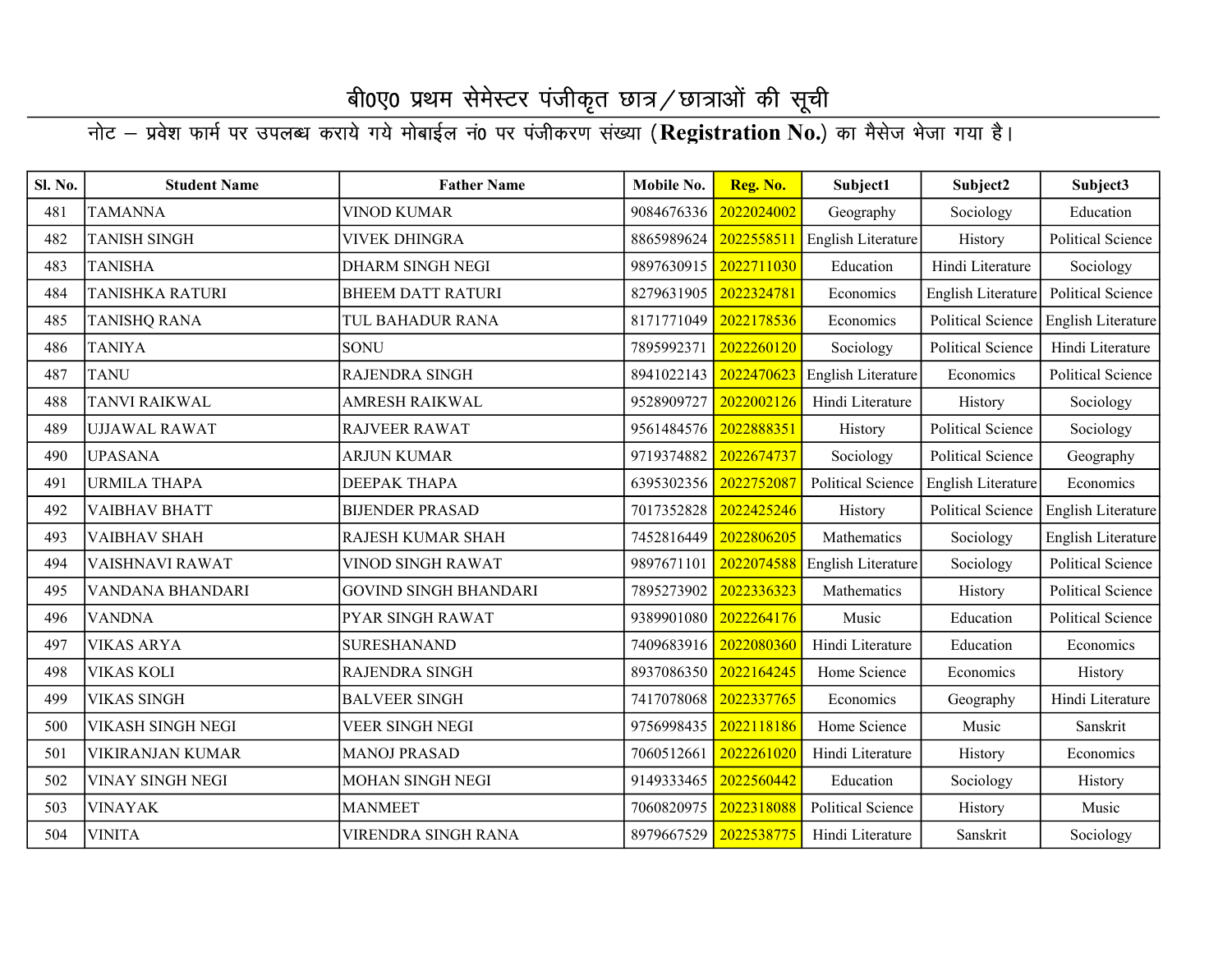| Sl. No. | <b>Student Name</b>      | <b>Father Name</b>           | Mobile No. | Reg. No.   | Subject1                      | Subject2                 | Subject3                 |
|---------|--------------------------|------------------------------|------------|------------|-------------------------------|--------------------------|--------------------------|
| 481     | <b>TAMANNA</b>           | <b>VINOD KUMAR</b>           | 9084676336 | 2022024002 | Geography                     | Sociology                | Education                |
| 482     | <b>TANISH SINGH</b>      | <b>VIVEK DHINGRA</b>         | 8865989624 | 2022558511 | English Literature            | History                  | <b>Political Science</b> |
| 483     | <b>TANISHA</b>           | <b>DHARM SINGH NEGI</b>      | 9897630915 | 2022711030 | Education                     | Hindi Literature         | Sociology                |
| 484     | <b>TANISHKA RATURI</b>   | <b>BHEEM DATT RATURI</b>     | 8279631905 | 2022324781 | Economics                     | English Literature       | Political Science        |
| 485     | <b>TANISHQ RANA</b>      | TUL BAHADUR RANA             | 8171771049 | 2022178536 | Economics                     | <b>Political Science</b> | English Literature       |
| 486     | <b>TANIYA</b>            | <b>SONU</b>                  | 7895992371 | 2022260120 | Sociology                     | Political Science        | Hindi Literature         |
| 487     | <b>TANU</b>              | <b>RAJENDRA SINGH</b>        | 8941022143 | 2022470623 | English Literature            | Economics                | <b>Political Science</b> |
| 488     | <b>TANVI RAIKWAL</b>     | <b>AMRESH RAIKWAL</b>        | 9528909727 | 2022002126 | Hindi Literature              | History                  | Sociology                |
| 489     | <b>UJJAWAL RAWAT</b>     | <b>RAJVEER RAWAT</b>         | 9561484576 | 2022888351 | History                       | <b>Political Science</b> | Sociology                |
| 490     | <b>UPASANA</b>           | <b>ARJUN KUMAR</b>           | 9719374882 | 2022674737 | Sociology                     | Political Science        | Geography                |
| 491     | <b>URMILA THAPA</b>      | DEEPAK THAPA                 | 6395302356 | 2022752087 | Political Science             | English Literature       | Economics                |
| 492     | <b>VAIBHAV BHATT</b>     | <b>BIJENDER PRASAD</b>       | 7017352828 | 2022425246 | History                       | <b>Political Science</b> | English Literature       |
| 493     | <b>VAIBHAV SHAH</b>      | <b>RAJESH KUMAR SHAH</b>     | 7452816449 | 2022806205 | Mathematics                   | Sociology                | English Literature       |
| 494     | VAISHNAVI RAWAT          | <b>VINOD SINGH RAWAT</b>     | 9897671101 |            | 2022074588 English Literature | Sociology                | <b>Political Science</b> |
| 495     | VANDANA BHANDARI         | <b>GOVIND SINGH BHANDARI</b> | 7895273902 | 2022336323 | Mathematics                   | History                  | Political Science        |
| 496     | <b>VANDNA</b>            | <b>PYAR SINGH RAWAT</b>      | 9389901080 | 2022264176 | Music                         | Education                | <b>Political Science</b> |
| 497     | <b>VIKAS ARYA</b>        | <b>SURESHANAND</b>           | 7409683916 | 2022080360 | Hindi Literature              | Education                | Economics                |
| 498     | <b>VIKAS KOLI</b>        | <b>RAJENDRA SINGH</b>        | 8937086350 | 2022164245 | Home Science                  | Economics                | History                  |
| 499     | <b>VIKAS SINGH</b>       | <b>BALVEER SINGH</b>         | 7417078068 | 2022337765 | Economics                     | Geography                | Hindi Literature         |
| 500     | <b>VIKASH SINGH NEGI</b> | <b>VEER SINGH NEGI</b>       | 9756998435 | 2022118186 | Home Science                  | Music                    | Sanskrit                 |
| 501     | <b>VIKIRANJAN KUMAR</b>  | <b>MANOJ PRASAD</b>          | 7060512661 | 2022261020 | Hindi Literature              | History                  | Economics                |
| 502     | VINAY SINGH NEGI         | MOHAN SINGH NEGI             | 9149333465 | 2022560442 | Education                     | Sociology                | History                  |
| 503     | <b>VINAYAK</b>           | <b>MANMEET</b>               | 7060820975 | 2022318088 | <b>Political Science</b>      | History                  | Music                    |
| 504     | <b>VINITA</b>            | VIRENDRA SINGH RANA          | 8979667529 | 2022538775 | Hindi Literature              | Sanskrit                 | Sociology                |